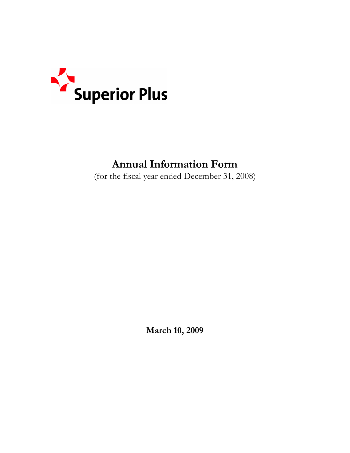

# **Annual Information Form**

(for the fiscal year ended December 31, 2008)

**March 10, 2009**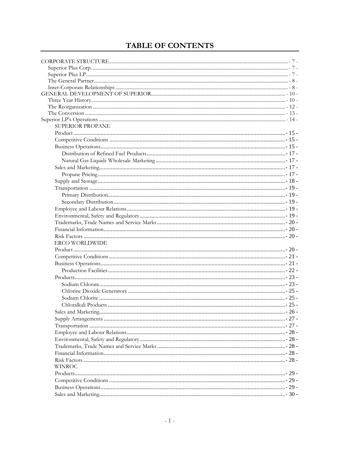## TABLE OF CONTENTS

| SUPERIOR PROPANE      |  |
|-----------------------|--|
|                       |  |
|                       |  |
|                       |  |
|                       |  |
|                       |  |
|                       |  |
|                       |  |
|                       |  |
|                       |  |
|                       |  |
|                       |  |
|                       |  |
|                       |  |
|                       |  |
|                       |  |
|                       |  |
| <b>ERCO WORLDWIDE</b> |  |
|                       |  |
|                       |  |
|                       |  |
|                       |  |
|                       |  |
|                       |  |
|                       |  |
|                       |  |
|                       |  |
|                       |  |
|                       |  |
|                       |  |
|                       |  |
|                       |  |
|                       |  |
|                       |  |
|                       |  |
|                       |  |
| <b>WINROC</b>         |  |
|                       |  |
|                       |  |
|                       |  |
|                       |  |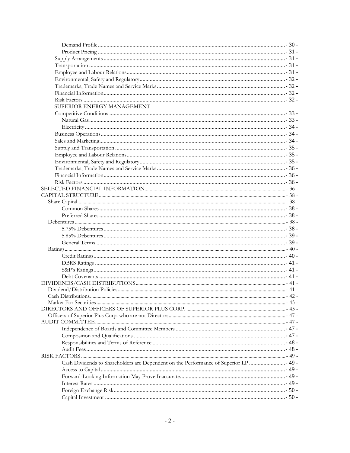| SUPERIOR ENERGY MANAGEMENT                                                           |  |
|--------------------------------------------------------------------------------------|--|
|                                                                                      |  |
|                                                                                      |  |
|                                                                                      |  |
|                                                                                      |  |
|                                                                                      |  |
|                                                                                      |  |
|                                                                                      |  |
|                                                                                      |  |
|                                                                                      |  |
|                                                                                      |  |
|                                                                                      |  |
|                                                                                      |  |
|                                                                                      |  |
|                                                                                      |  |
|                                                                                      |  |
|                                                                                      |  |
|                                                                                      |  |
|                                                                                      |  |
|                                                                                      |  |
|                                                                                      |  |
|                                                                                      |  |
|                                                                                      |  |
|                                                                                      |  |
|                                                                                      |  |
|                                                                                      |  |
|                                                                                      |  |
|                                                                                      |  |
|                                                                                      |  |
|                                                                                      |  |
|                                                                                      |  |
|                                                                                      |  |
|                                                                                      |  |
|                                                                                      |  |
|                                                                                      |  |
|                                                                                      |  |
|                                                                                      |  |
|                                                                                      |  |
| Cash Dividends to Shareholders are Dependent on the Performance of Superior LP  49 - |  |
|                                                                                      |  |
|                                                                                      |  |
|                                                                                      |  |
|                                                                                      |  |
|                                                                                      |  |
|                                                                                      |  |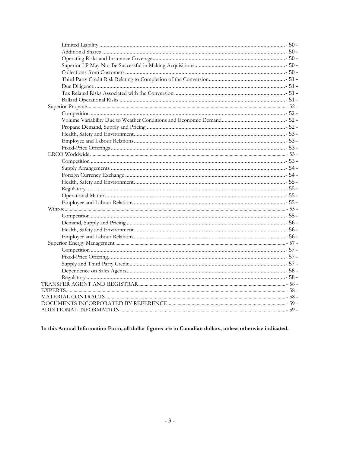In this Annual Information Form, all dollar figures are in Canadian dollars, unless otherwise indicated.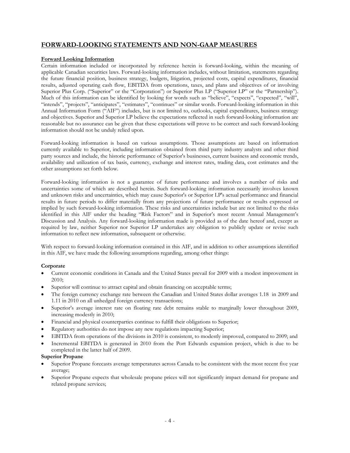## **FORWARD-LOOKING STATEMENTS AND NON-GAAP MEASURES**

#### **Forward Looking Information**

Certain information included or incorporated by reference herein is forward-looking, within the meaning of applicable Canadian securities laws. Forward-looking information includes, without limitation, statements regarding the future financial position, business strategy, budgets, litigation, projected costs, capital expenditures, financial results, adjusted operating cash flow, EBITDA from operations, taxes, and plans and objectives of or involving Superior Plus Corp. ("Superior" or the "Corporation") or Superior Plus LP ("Superior LP" or the "Partnership"). Much of this information can be identified by looking for words such as "believe", "expects", "expected", "will", "intends", "projects", "anticipates", "estimates", "continues" or similar words. Forward-looking information in this Annual Information Form ("AIF") includes, but is not limited to, outlooks, capital expenditures, business strategy and objectives. Superior and Superior LP believe the expectations reflected in such forward-looking information are reasonable but no assurance can be given that these expectations will prove to be correct and such forward-looking information should not be unduly relied upon.

Forward-looking information is based on various assumptions. Those assumptions are based on information currently available to Superior, including information obtained from third party industry analysts and other third party sources and include, the historic performance of Superior's businesses, current business and economic trends, availability and utilization of tax basis, currency, exchange and interest rates, trading data, cost estimates and the other assumptions set forth below.

Forward-looking information is not a guarantee of future performance and involves a number of risks and uncertainties some of which are described herein. Such forward-looking information necessarily involves known and unknown risks and uncertainties, which may cause Superior's or Superior LP's actual performance and financial results in future periods to differ materially from any projections of future performance or results expressed or implied by such forward-looking information. These risks and uncertainties include but are not limited to the risks identified in this AIF under the heading "Risk Factors" and in Superior's most recent Annual Management's Discussion and Analysis. Any forward-looking information made is provided as of the date hereof and, except as required by law, neither Superior nor Superior LP undertakes any obligation to publicly update or revise such information to reflect new information, subsequent or otherwise.

With respect to forward-looking information contained in this AIF, and in addition to other assumptions identified in this AIF, we have made the following assumptions regarding, among other things:

#### **Corporate**

- Current economic conditions in Canada and the United States prevail for 2009 with a modest improvement in 2010;
- Superior will continue to attract capital and obtain financing on acceptable terms;
- The foreign currency exchange rate between the Canadian and United States dollar averages 1.18 in 2009 and 1.11 in 2010 on all unhedged foreign currency transactions;
- Superior's average interest rate on floating rate debt remains stable to marginally lower throughout 2009, increasing modestly in 2010;
- Financial and physical counterparties continue to fulfill their obligations to Superior;
- Regulatory authorities do not impose any new regulations impacting Superior;
- EBITDA from operations of the divisions in 2010 is consistent, to modestly improved, compared to 2009; and
- Incremental EBITDA is generated in 2010 from the Port Edwards expansion project, which is due to be completed in the latter half of 2009.

#### **Superior Propane**

- Superior Propane forecasts average temperatures across Canada to be consistent with the most recent five year average;
- Superior Propane expects that wholesale propane prices will not significantly impact demand for propane and related propane services;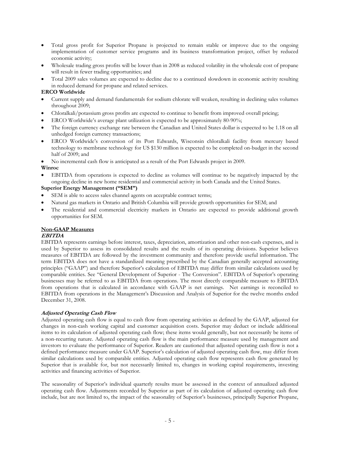- Total gross profit for Superior Propane is projected to remain stable or improve due to the ongoing implementation of customer service programs and its business transformation project, offset by reduced economic activity;
- Wholesale trading gross profits will be lower than in 2008 as reduced volatility in the wholesale cost of propane will result in fewer trading opportunities; and
- Total 2009 sales volumes are expected to decline due to a continued slowdown in economic activity resulting in reduced demand for propane and related services.

#### **ERCO Worldwide**

- Current supply and demand fundamentals for sodium chlorate will weaken, resulting in declining sales volumes throughout 2009;
- Chloralkali/potassium gross profits are expected to continue to benefit from improved overall pricing;
- ERCO Worldwide's average plant utilization is expected to be approximately 80-90%;
- The foreign currency exchange rate between the Canadian and United States dollar is expected to be 1.18 on all unhedged foreign currency transactions;
- ERCO Worldwide's conversion of its Port Edwards, Wisconsin chloralkali facility from mercury based technology to membrane technology for US \$130 million is expected to be completed on-budget in the second half of 2009; and
- No incremental cash flow is anticipated as a result of the Port Edwards project in 2009.

#### **Winroc**

EBITDA from operations is expected to decline as volumes will continue to be negatively impacted by the ongoing decline in new home residential and commercial activity in both Canada and the United States.

## **Superior Energy Management ("SEM")**

- SEM is able to access sales channel agents on acceptable contract terms;
- Natural gas markets in Ontario and British Columbia will provide growth opportunities for SEM; and
- The residential and commercial electricity markets in Ontario are expected to provide additional growth opportunities for SEM.

#### **Non-GAAP Measures**

#### **EBITDA**

EBITDA represents earnings before interest, taxes, depreciation, amortization and other non-cash expenses, and is used by Superior to assess its consolidated results and the results of its operating divisions. Superior believes measures of EBITDA are followed by the investment community and therefore provide useful information. The term EBITDA does not have a standardized meaning prescribed by the Canadian generally accepted accounting principles ("GAAP") and therefore Superior's calculation of EBITDA may differ from similar calculations used by comparable entities. See "General Development of Superior - The Conversion". EBITDA of Superior's operating businesses may be referred to as EBITDA from operations. The most directly comparable measure to EBITDA from operations that is calculated in accordance with GAAP is net earnings. Net earnings is reconciled to EBITDA from operations in the Management's Discussion and Analysis of Superior for the twelve months ended December 31, 2008.

#### **Adjusted Operating Cash Flow**

Adjusted operating cash flow is equal to cash flow from operating activities as defined by the GAAP, adjusted for changes in non-cash working capital and customer acquisition costs. Superior may deduct or include additional items to its calculation of adjusted operating cash flow; these items would generally, but not necessarily be items of a non-recurring nature. Adjusted operating cash flow is the main performance measure used by management and investors to evaluate the performance of Superior. Readers are cautioned that adjusted operating cash flow is not a defined performance measure under GAAP. Superior's calculation of adjusted operating cash flow, may differ from similar calculations used by comparable entities. Adjusted operating cash flow represents cash flow generated by Superior that is available for, but not necessarily limited to, changes in working capital requirements, investing activities and financing activities of Superior.

The seasonality of Superior's individual quarterly results must be assessed in the context of annualized adjusted operating cash flow. Adjustments recorded by Superior as part of its calculation of adjusted operating cash flow include, but are not limited to, the impact of the seasonality of Superior's businesses, principally Superior Propane,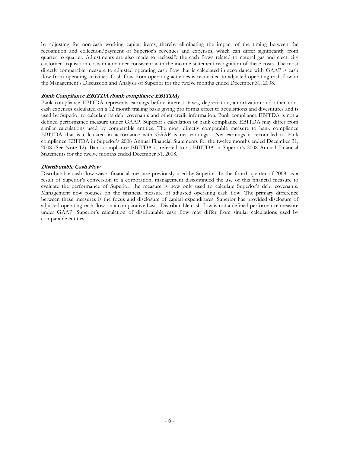by adjusting for non-cash working capital items, thereby eliminating the impact of the timing between the recognition and collection/payment of Superior's revenues and expenses, which can differ significantly from quarter to quarter. Adjustments are also made to reclassify the cash flows related to natural gas and electricity customer acquisition costs in a manner consistent with the income statement recognition of these costs. The most directly comparable measure to adjusted operating cash flow that is calculated in accordance with GAAP is cash flow from operating activities. Cash flow from operating activities is reconciled to adjusted operating cash flow in the Management's Discussion and Analysis of Superior for the twelve months ended December 31, 2008.

#### **Bank Compliance EBITDA (bank compliance EBITDA)**

Bank compliance EBITDA represents earnings before interest, taxes, depreciation, amortization and other noncash expenses calculated on a 12 month trailing basis giving pro forma effect to acquisitions and divestitures and is used by Superior to calculate its debt covenants and other credit information. Bank compliance EBITDA is not a defined performance measure under GAAP. Superior's calculation of bank compliance EBITDA may differ from similar calculations used by comparable entities. The most directly comparable measure to bank compliance EBITDA that is calculated in accordance with GAAP is net earnings. Net earnings is reconciled to bank compliance EBITDA in Superior's 2008 Annual Financial Statements for the twelve months ended December 31, 2008 (See Note 12). Bank compliance EBITDA is referred to as EBITDA in Superior's 2008 Annual Financial Statements for the twelve months ended December 31, 2008.

#### **Distributable Cash Flow**

Distributable cash flow was a financial measure previously used by Superior. In the fourth quarter of 2008, as a result of Superior's conversion to a corporation, management discontinued the use of this financial measure to evaluate the performance of Superior, the measure is now only used to calculate Superior's debt covenants. Management now focuses on the financial measure of adjusted operating cash flow. The primary difference between these measures is the focus and disclosure of capital expenditures. Superior has provided disclosure of adjusted operating cash flow on a comparative basis. Distributable cash flow is not a defined performance measure under GAAP. Superior's calculation of distributable cash flow may differ from similar calculations used by comparable entities.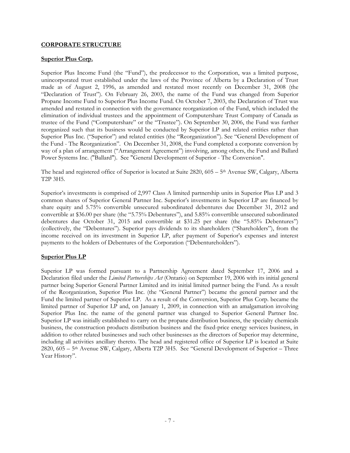#### **CORPORATE STRUCTURE**

#### **Superior Plus Corp.**

Superior Plus Income Fund (the "Fund"), the predecessor to the Corporation, was a limited purpose, unincorporated trust established under the laws of the Province of Alberta by a Declaration of Trust made as of August 2, 1996, as amended and restated most recently on December 31, 2008 (the "Declaration of Trust"). On February 26, 2003, the name of the Fund was changed from Superior Propane Income Fund to Superior Plus Income Fund. On October 7, 2003, the Declaration of Trust was amended and restated in connection with the governance reorganization of the Fund, which included the elimination of individual trustees and the appointment of Computershare Trust Company of Canada as trustee of the Fund ("Computershare" or the "Trustee"). On September 30, 2006, the Fund was further reorganized such that its business would be conducted by Superior LP and related entities rather than Superior Plus Inc. ("Superior") and related entities (the "Reorganization"). See "General Development of the Fund - The Reorganization". On December 31, 2008, the Fund completed a corporate conversion by way of a plan of arrangement ("Arrangement Agreement") involving, among others, the Fund and Ballard Power Systems Inc. ("Ballard"). See "General Development of Superior - The Conversion".

The head and registered office of Superior is located at Suite 2820, 605 – 5th Avenue SW, Calgary, Alberta T2P 3H5.

Superior's investments is comprised of 2,997 Class A limited partnership units in Superior Plus LP and 3 common shares of Superior General Partner Inc. Superior's investments in Superior LP are financed by share equity and 5.75% convertible unsecured subordinated debentures due December 31, 2012 and convertible at \$36.00 per share (the "5.75% Debentures"), and 5.85% convertible unsecured subordinated debentures due October 31, 2015 and convertible at \$31.25 per share (the "5.85% Debentures") (collectively, the "Debentures"). Superior pays dividends to its shareholders ("Shareholders"), from the income received on its investment in Superior LP, after payment of Superior's expenses and interest payments to the holders of Debentures of the Corporation ("Debentureholders").

## **Superior Plus LP**

Superior LP was formed pursuant to a Partnership Agreement dated September 17, 2006 and a Declaration filed under the *Limited Partnerships Act* (Ontario) on September 19, 2006 with its initial general partner being Superior General Partner Limited and its initial limited partner being the Fund. As a result of the Reorganization, Superior Plus Inc. (the "General Partner") became the general partner and the Fund the limited partner of Superior LP. As a result of the Conversion, Superior Plus Corp. became the limited partner of Superior LP and, on January 1, 2009, in connection with an amalgamation involving Superior Plus Inc. the name of the general partner was changed to Superior General Partner Inc. Superior LP was initially established to carry on the propane distribution business, the specialty chemicals business, the construction products distribution business and the fixed-price energy services business, in addition to other related businesses and such other businesses as the directors of Superior may determine, including all activities ancillary thereto. The head and registered office of Superior LP is located at Suite 2820, 605 – 5th Avenue SW, Calgary, Alberta T2P 3H5. See "General Development of Superior – Three Year History".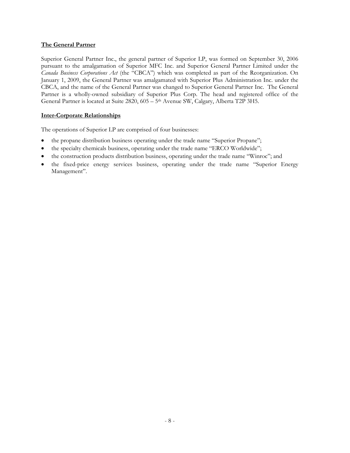## **The General Partner**

Superior General Partner Inc., the general partner of Superior LP, was formed on September 30, 2006 pursuant to the amalgamation of Superior MFC Inc. and Superior General Partner Limited under the *Canada Business Corporations Act* (the "CBCA") which was completed as part of the Reorganization. On January 1, 2009, the General Partner was amalgamated with Superior Plus Administration Inc. under the CBCA, and the name of the General Partner was changed to Superior General Partner Inc. The General Partner is a wholly-owned subsidiary of Superior Plus Corp. The head and registered office of the General Partner is located at Suite 2820, 605 – 5<sup>th</sup> Avenue SW, Calgary, Alberta T2P 3H5.

## **Inter-Corporate Relationships**

The operations of Superior LP are comprised of four businesses:

- the propane distribution business operating under the trade name "Superior Propane";
- the specialty chemicals business, operating under the trade name "ERCO Worldwide";
- the construction products distribution business, operating under the trade name "Winroc"; and
- the fixed-price energy services business, operating under the trade name "Superior Energy Management".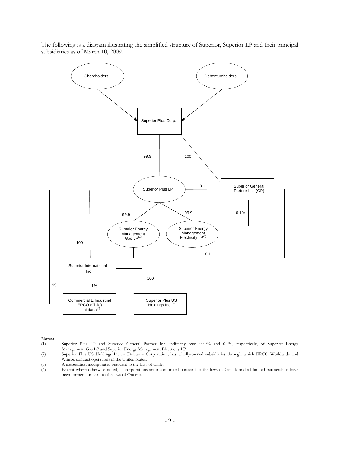The following is a diagram illustrating the simplified structure of Superior, Superior LP and their principal subsidiaries as of March 10, 2009.



**Notes:** 

(1) Superior Plus LP and Superior General Partner Inc. indirectly own 99.9% and 0.1%, respectively, of Superior Energy Management Gas LP and Superior Energy Management Electricity LP.

- (3) A corporation incorporated pursuant to the laws of Chile.
- (4) Except where otherwise noted, all corporations are incorporated pursuant to the laws of Canada and all limited partnerships have been formed pursuant to the laws of Ontario.

<sup>(2)</sup> Superior Plus US Holdings Inc., a Delaware Corporation, has wholly-owned subsidiaries through which ERCO Worldwide and Winroc conduct operations in the United States.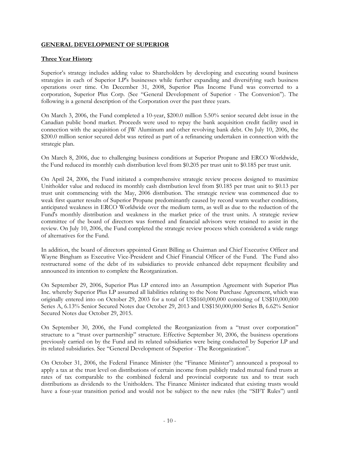## **GENERAL DEVELOPMENT OF SUPERIOR**

## **Three Year History**

Superior's strategy includes adding value to Shareholders by developing and executing sound business strategies in each of Superior LP's businesses while further expanding and diversifying such business operations over time. On December 31, 2008, Superior Plus Income Fund was converted to a corporation, Superior Plus Corp. (See "General Development of Superior - The Conversion"). The following is a general description of the Corporation over the past three years.

On March 3, 2006, the Fund completed a 10-year, \$200.0 million 5.50% senior secured debt issue in the Canadian public bond market. Proceeds were used to repay the bank acquisition credit facility used in connection with the acquisition of JW Aluminum and other revolving bank debt. On July 10, 2006, the \$200.0 million senior secured debt was retired as part of a refinancing undertaken in connection with the strategic plan.

On March 8, 2006, due to challenging business conditions at Superior Propane and ERCO Worldwide, the Fund reduced its monthly cash distribution level from \$0.205 per trust unit to \$0.185 per trust unit.

On April 24, 2006, the Fund initiated a comprehensive strategic review process designed to maximize Unitholder value and reduced its monthly cash distribution level from \$0.185 per trust unit to \$0.13 per trust unit commencing with the May, 2006 distribution. The strategic review was commenced due to weak first quarter results of Superior Propane predominantly caused by record warm weather conditions, anticipated weakness in ERCO Worldwide over the medium term, as well as due to the reduction of the Fund's monthly distribution and weakness in the market price of the trust units. A strategic review committee of the board of directors was formed and financial advisors were retained to assist in the review. On July 10, 2006, the Fund completed the strategic review process which considered a wide range of alternatives for the Fund.

In addition, the board of directors appointed Grant Billing as Chairman and Chief Executive Officer and Wayne Bingham as Executive Vice-President and Chief Financial Officer of the Fund. The Fund also restructured some of the debt of its subsidiaries to provide enhanced debt repayment flexibility and announced its intention to complete the Reorganization.

On September 29, 2006, Superior Plus LP entered into an Assumption Agreement with Superior Plus Inc. whereby Superior Plus LP assumed all liabilities relating to the Note Purchase Agreement, which was originally entered into on October 29, 2003 for a total of US\$160,000,000 consisting of US\$10,000,000 Series A, 6.13% Senior Secured Notes due October 29, 2013 and US\$150,000,000 Series B, 6.62% Senior Secured Notes due October 29, 2015.

On September 30, 2006, the Fund completed the Reorganization from a "trust over corporation" structure to a "trust over partnership" structure. Effective September 30, 2006, the business operations previously carried on by the Fund and its related subsidiaries were being conducted by Superior LP and its related subsidiaries. See "General Development of Superior - The Reorganization".

On October 31, 2006, the Federal Finance Minister (the "Finance Minister") announced a proposal to apply a tax at the trust level on distributions of certain income from publicly traded mutual fund trusts at rates of tax comparable to the combined federal and provincial corporate tax and to treat such distributions as dividends to the Unitholders. The Finance Minister indicated that existing trusts would have a four-year transition period and would not be subject to the new rules (the "SIFT Rules") until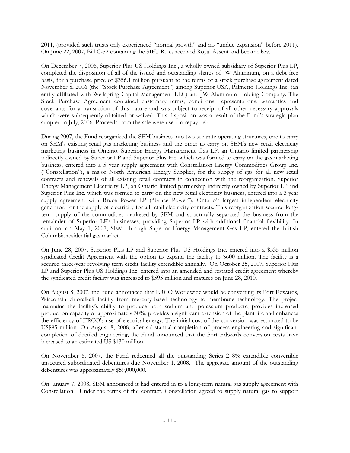2011, (provided such trusts only experienced "normal growth" and no "undue expansion" before 2011). On June 22, 2007, Bill C-52 containing the SIFT Rules received Royal Assent and became law.

On December 7, 2006, Superior Plus US Holdings Inc., a wholly owned subsidiary of Superior Plus LP, completed the disposition of all of the issued and outstanding shares of JW Aluminum, on a debt free basis, for a purchase price of \$356.1 million pursuant to the terms of a stock purchase agreement dated November 8, 2006 (the "Stock Purchase Agreement") among Superior USA, Palmetto Holdings Inc. (an entity affiliated with Wellspring Capital Management LLC) and JW Aluminum Holding Company. The Stock Purchase Agreement contained customary terms, conditions, representations, warranties and covenants for a transaction of this nature and was subject to receipt of all other necessary approvals which were subsequently obtained or waived. This disposition was a result of the Fund's strategic plan adopted in July, 2006. Proceeds from the sale were used to repay debt.

During 2007, the Fund reorganized the SEM business into two separate operating structures, one to carry on SEM's existing retail gas marketing business and the other to carry on SEM's new retail electricity marketing business in Ontario. Superior Energy Management Gas LP, an Ontario limited partnership indirectly owned by Superior LP and Superior Plus Inc. which was formed to carry on the gas marketing business, entered into a 5 year supply agreement with Constellation Energy Commodities Group Inc. ("Constellation"), a major North American Energy Supplier, for the supply of gas for all new retail contracts and renewals of all existing retail contracts in connection with the reorganization. Superior Energy Management Electricity LP, an Ontario limited partnership indirectly owned by Superior LP and Superior Plus Inc. which was formed to carry on the new retail electricity business, entered into a 3 year supply agreement with Bruce Power LP ("Bruce Power"), Ontario's largest independent electricity generator, for the supply of electricity for all retail electricity contracts. This reorganization secured longterm supply of the commodities marketed by SEM and structurally separated the business from the remainder of Superior LP's businesses, providing Superior LP with additional financial flexibility. In addition, on May 1, 2007, SEM, through Superior Energy Management Gas LP, entered the British Columbia residential gas market.

On June 28, 2007, Superior Plus LP and Superior Plus US Holdings Inc. entered into a \$535 million syndicated Credit Agreement with the option to expand the facility to \$600 million. The facility is a secured three-year revolving term credit facility extendible annually. On October 25, 2007, Superior Plus LP and Superior Plus US Holdings Inc. entered into an amended and restated credit agreement whereby the syndicated credit facility was increased to \$595 million and matures on June 28, 2010.

On August 8, 2007, the Fund announced that ERCO Worldwide would be converting its Port Edwards, Wisconsin chloralkali facility from mercury-based technology to membrane technology. The project maintains the facility's ability to produce both sodium and potassium products, provides increased production capacity of approximately 30%, provides a significant extension of the plant life and enhances the efficiency of ERCO's use of electrical energy. The initial cost of the conversion was estimated to be US\$95 million. On August 8, 2008, after substantial completion of process engineering and significant completion of detailed engineering, the Fund announced that the Port Edwards conversion costs have increased to an estimated US \$130 million.

On November 5, 2007, the Fund redeemed all the outstanding Series 2 8% extendible convertible unsecured subordinated debentures due November 1, 2008. The aggregate amount of the outstanding debentures was approximately \$59,000,000.

On January 7, 2008, SEM announced it had entered in to a long-term natural gas supply agreement with Constellation. Under the terms of the contract, Constellation agreed to supply natural gas to support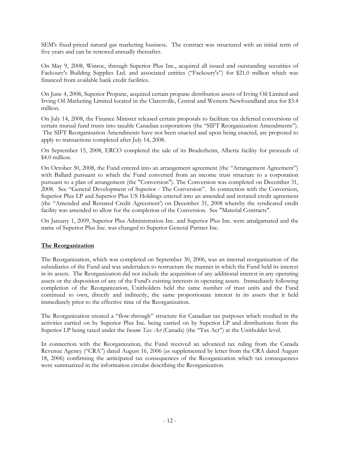SEM's fixed-priced natural gas marketing business. The contract was structured with an initial term of five years and can be renewed annually thereafter.

On May 9, 2008, Winroc, through Superior Plus Inc., acquired all issued and outstanding securities of Fackoury's Building Supplies Ltd. and associated entities ("Fackoury's") for \$21.0 million which was financed from available bank credit facilities.

On June 4, 2008, Superior Propane, acquired certain propane distribution assets of Irving Oil Limited and Irving Oil Marketing Limited located in the Clarenville, Central and Western Newfoundland area for \$3.4 million.

On July 14, 2008, the Finance Minister released certain proposals to facilitate tax deferred conversions of certain mutual fund trusts into taxable Canadian corporations (the "SIFT Reorganization Amendments"). The SIFT Reorganization Amendments have not been enacted and upon being enacted, are proposed to apply to transactions completed after July 14, 2008.

On September 15, 2008, ERCO completed the sale of its Bruderheim, Alberta facility for proceeds of \$4.0 million.

On October 30, 2008, the Fund entered into an arrangement agreement (the "Arrangement Agreement") with Ballard pursuant to which the Fund converted from an income trust structure to a corporation pursuant to a plan of arrangement (the "Conversion"). The Conversion was completed on December 31, 2008. See "General Development of Superior - The Conversion". In connection with the Conversion, Superior Plus LP and Superior Plus US Holdings entered into an amended and restated credit agreement (the "Amended and Restated Credit Agreement') on December 31, 2008 whereby the syndicated credit facility was amended to allow for the completion of the Conversion. See "Material Contracts".

On January 1, 2009, Superior Plus Administration Inc. and Superior Plus Inc. were amalgamated and the name of Superior Plus Inc. was changed to Superior General Partner Inc.

## **The Reorganization**

The Reorganization, which was completed on September 30, 2006, was an internal reorganization of the subsidiaries of the Fund and was undertaken to restructure the manner in which the Fund held its interest in its assets. The Reorganization did not include the acquisition of any additional interest in any operating assets or the disposition of any of the Fund's existing interests in operating assets. Immediately following completion of the Reorganization, Unitholders held the same number of trust units and the Fund continued to own, directly and indirectly, the same proportionate interest in its assets that it held immediately prior to the effective time of the Reorganization.

The Reorganization created a "flow-through" structure for Canadian tax purposes which resulted in the activities carried on by Superior Plus Inc. being carried on by Superior LP and distributions from the Superior LP being taxed under the *Income Tax Act* (Canada) (the "Tax Act") at the Unitholder level.

In connection with the Reorganization, the Fund received an advanced tax ruling from the Canada Revenue Agency ("CRA") dated August 16, 2006 (as supplemented by letter from the CRA dated August 18, 2006) confirming the anticipated tax consequences of the Reorganization which tax consequences were summarized in the information circular describing the Reorganization.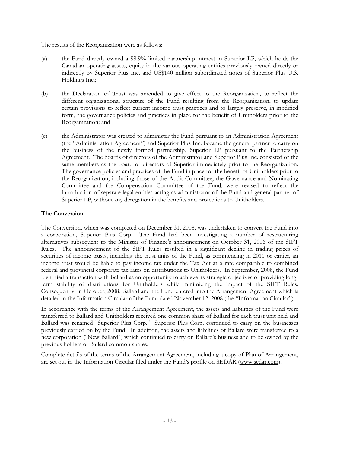The results of the Reorganization were as follows:

- (a) the Fund directly owned a 99.9% limited partnership interest in Superior LP, which holds the Canadian operating assets, equity in the various operating entities previously owned directly or indirectly by Superior Plus Inc. and US\$140 million subordinated notes of Superior Plus U.S. Holdings Inc.;
- (b) the Declaration of Trust was amended to give effect to the Reorganization, to reflect the different organizational structure of the Fund resulting from the Reorganization, to update certain provisions to reflect current income trust practices and to largely preserve, in modified form, the governance policies and practices in place for the benefit of Unitholders prior to the Reorganization; and
- (c) the Administrator was created to administer the Fund pursuant to an Administration Agreement (the "Administration Agreement") and Superior Plus Inc. became the general partner to carry on the business of the newly formed partnership, Superior LP pursuant to the Partnership Agreement. The boards of directors of the Administrator and Superior Plus Inc. consisted of the same members as the board of directors of Superior immediately prior to the Reorganization. The governance policies and practices of the Fund in place for the benefit of Unitholders prior to the Reorganization, including those of the Audit Committee, the Governance and Nominating Committee and the Compensation Committee of the Fund, were revised to reflect the introduction of separate legal entities acting as administrator of the Fund and general partner of Superior LP, without any derogation in the benefits and protections to Unitholders.

## **The Conversion**

The Conversion, which was completed on December 31, 2008, was undertaken to convert the Fund into a corporation, Superior Plus Corp. The Fund had been investigating a number of restructuring alternatives subsequent to the Minister of Finance's announcement on October 31, 2006 of the SIFT Rules. The announcement of the SIFT Rules resulted in a significant decline in trading prices of securities of income trusts, including the trust units of the Fund, as commencing in 2011 or earlier, an income trust would be liable to pay income tax under the Tax Act at a rate comparable to combined federal and provincial corporate tax rates on distributions to Unitholders. In September, 2008, the Fund identified a transaction with Ballard as an opportunity to achieve its strategic objectives of providing longterm stability of distributions for Unitholders while minimizing the impact of the SIFT Rules. Consequently, in October, 2008, Ballard and the Fund entered into the Arrangement Agreement which is detailed in the Information Circular of the Fund dated November 12, 2008 (the "Information Circular").

In accordance with the terms of the Arrangement Agreement, the assets and liabilities of the Fund were transferred to Ballard and Unitholders received one common share of Ballard for each trust unit held and Ballard was renamed "Superior Plus Corp." Superior Plus Corp. continued to carry on the businesses previously carried on by the Fund. In addition, the assets and liabilities of Ballard were transferred to a new corporation ("New Ballard") which continued to carry on Ballard's business and to be owned by the previous holders of Ballard common shares.

Complete details of the terms of the Arrangement Agreement, including a copy of Plan of Arrangement, are set out in the Information Circular filed under the Fund's profile on SEDAR (www.sedar.com).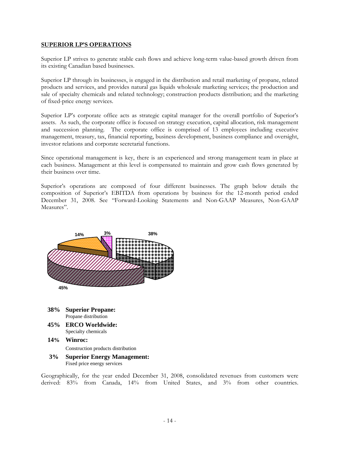#### **SUPERIOR LP'S OPERATIONS**

Superior LP strives to generate stable cash flows and achieve long-term value-based growth driven from its existing Canadian based businesses.

Superior LP through its businesses, is engaged in the distribution and retail marketing of propane, related products and services, and provides natural gas liquids wholesale marketing services; the production and sale of specialty chemicals and related technology; construction products distribution; and the marketing of fixed-price energy services.

Superior LP's corporate office acts as strategic capital manager for the overall portfolio of Superior's assets. As such, the corporate office is focused on strategy execution, capital allocation, risk management and succession planning. The corporate office is comprised of 13 employees including executive management, treasury, tax, financial reporting, business development, business compliance and oversight, investor relations and corporate secretarial functions.

Since operational management is key, there is an experienced and strong management team in place at each business. Management at this level is compensated to maintain and grow cash flows generated by their business over time.

Superior's operations are composed of four different businesses. The graph below details the composition of Superior's EBITDA from operations by business for the 12-month period ended December 31, 2008. See "Forward-Looking Statements and Non-GAAP Measures, Non-GAAP Measures".



 **3% Superior Energy Management:**  Fixed price energy services

Geographically, for the year ended December 31, 2008, consolidated revenues from customers were derived: 83% from Canada, 14% from United States, and 3% from other countries.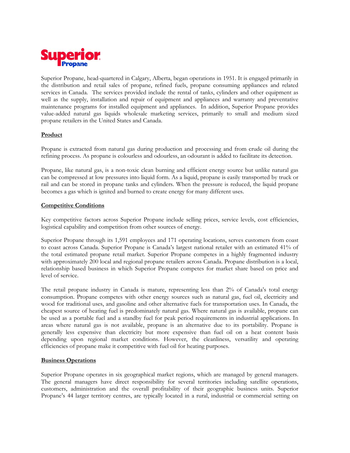

Superior Propane, head-quartered in Calgary, Alberta, began operations in 1951. It is engaged primarily in the distribution and retail sales of propane, refined fuels, propane consuming appliances and related services in Canada. The services provided include the rental of tanks, cylinders and other equipment as well as the supply, installation and repair of equipment and appliances and warranty and preventative maintenance programs for installed equipment and appliances. In addition, Superior Propane provides value-added natural gas liquids wholesale marketing services, primarily to small and medium sized propane retailers in the United States and Canada.

## **Product**

Propane is extracted from natural gas during production and processing and from crude oil during the refining process. As propane is colourless and odourless, an odourant is added to facilitate its detection.

Propane, like natural gas, is a non-toxic clean burning and efficient energy source but unlike natural gas can be compressed at low pressures into liquid form. As a liquid, propane is easily transported by truck or rail and can be stored in propane tanks and cylinders. When the pressure is reduced, the liquid propane becomes a gas which is ignited and burned to create energy for many different uses.

#### **Competitive Conditions**

Key competitive factors across Superior Propane include selling prices, service levels, cost efficiencies, logistical capability and competition from other sources of energy.

Superior Propane through its 1,591 employees and 171 operating locations, serves customers from coast to coast across Canada. Superior Propane is Canada's largest national retailer with an estimated 41% of the total estimated propane retail market. Superior Propane competes in a highly fragmented industry with approximately 200 local and regional propane retailers across Canada. Propane distribution is a local, relationship based business in which Superior Propane competes for market share based on price and level of service.

The retail propane industry in Canada is mature, representing less than 2% of Canada's total energy consumption. Propane competes with other energy sources such as natural gas, fuel oil, electricity and wood for traditional uses, and gasoline and other alternative fuels for transportation uses. In Canada, the cheapest source of heating fuel is predominately natural gas. Where natural gas is available, propane can be used as a portable fuel and a standby fuel for peak period requirements in industrial applications. In areas where natural gas is not available, propane is an alternative due to its portability. Propane is generally less expensive than electricity but more expensive than fuel oil on a heat content basis depending upon regional market conditions. However, the cleanliness, versatility and operating efficiencies of propane make it competitive with fuel oil for heating purposes.

#### **Business Operations**

Superior Propane operates in six geographical market regions, which are managed by general managers. The general managers have direct responsibility for several territories including satellite operations, customers, administration and the overall profitability of their geographic business units. Superior Propane's 44 larger territory centres, are typically located in a rural, industrial or commercial setting on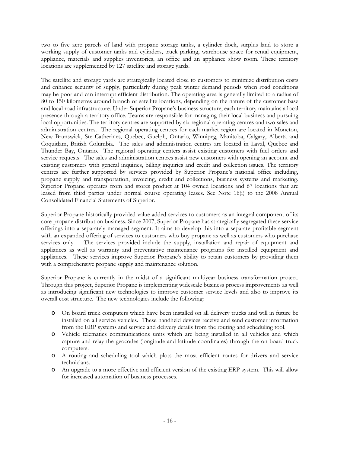two to five acre parcels of land with propane storage tanks, a cylinder dock, surplus land to store a working supply of customer tanks and cylinders, truck parking, warehouse space for rental equipment, appliance, materials and supplies inventories, an office and an appliance show room. These territory locations are supplemented by 127 satellite and storage yards.

The satellite and storage yards are strategically located close to customers to minimize distribution costs and enhance security of supply, particularly during peak winter demand periods when road conditions may be poor and can interrupt efficient distribution. The operating area is generally limited to a radius of 80 to 150 kilometres around branch or satellite locations, depending on the nature of the customer base and local road infrastructure. Under Superior Propane's business structure, each territory maintains a local presence through a territory office. Teams are responsible for managing their local business and pursuing local opportunities. The territory centres are supported by six regional operating centres and two sales and administration centres. The regional operating centres for each market region are located in Moncton, New Brunswick, Ste Catherines, Quebec, Guelph, Ontario, Winnipeg, Manitoba, Calgary, Alberta and Coquitlam, British Columbia. The sales and administration centres are located in Laval, Quebec and Thunder Bay, Ontario. The regional operating centers assist existing customers with fuel orders and service requests. The sales and administration centres assist new customers with opening an account and existing customers with general inquiries, billing inquiries and credit and collection issues. The territory centres are further supported by services provided by Superior Propane's national office including, propane supply and transportation, invoicing, credit and collections, business systems and marketing. Superior Propane operates from and stores product at 104 owned locations and 67 locations that are leased from third parties under normal course operating leases. See Note 16(i) to the 2008 Annual Consolidated Financial Statements of Superior.

Superior Propane historically provided value added services to customers as an integral component of its core propane distribution business. Since 2007, Superior Propane has strategically segregated these service offerings into a separately managed segment. It aims to develop this into a separate profitable segment with an expanded offering of services to customers who buy propane as well as customers who purchase services only. The services provided include the supply, installation and repair of equipment and appliances as well as warranty and preventative maintenance programs for installed equipment and appliances. These services improve Superior Propane's ability to retain customers by providing them with a comprehensive propane supply and maintenance solution.

Superior Propane is currently in the midst of a significant multiyear business transformation project. Through this project, Superior Propane is implementing widescale business process improvements as well as introducing significant new technologies to improve customer service levels and also to improve its overall cost structure. The new technologies include the following:

- o On board truck computers which have been installed on all delivery trucks and will in future be installed on all service vehicles. These handheld devices receive and send customer information from the ERP systems and service and delivery details from the routing and scheduling tool.
- o Vehicle telematics communications units which are being installed in all vehicles and which capture and relay the geocodes (longitude and latitude coordinates) through the on board truck computers.
- o A routing and scheduling tool which plots the most efficient routes for drivers and service technicians.
- o An upgrade to a more effective and efficient version of the existing ERP system. This will allow for increased automation of business processes.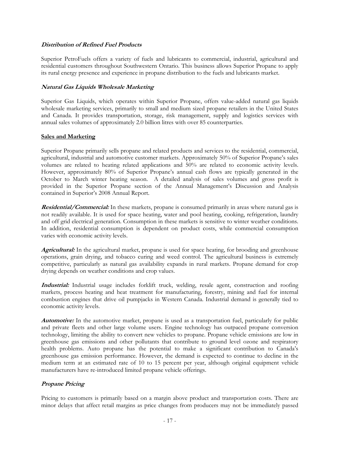#### **Distribution of Refined Fuel Products**

Superior PetroFuels offers a variety of fuels and lubricants to commercial, industrial, agricultural and residential customers throughout Southwestern Ontario. This business allows Superior Propane to apply its rural energy presence and experience in propane distribution to the fuels and lubricants market.

#### **Natural Gas Liquids Wholesale Marketing**

Superior Gas Liquids, which operates within Superior Propane, offers value-added natural gas liquids wholesale marketing services, primarily to small and medium sized propane retailers in the United States and Canada. It provides transportation, storage, risk management, supply and logistics services with annual sales volumes of approximately 2.0 billion litres with over 85 counterparties.

#### **Sales and Marketing**

Superior Propane primarily sells propane and related products and services to the residential, commercial, agricultural, industrial and automotive customer markets. Approximately 50% of Superior Propane's sales volumes are related to heating related applications and 50% are related to economic activity levels. However, approximately 80% of Superior Propane's annual cash flows are typically generated in the October to March winter heating season. A detailed analysis of sales volumes and gross profit is provided in the Superior Propane section of the Annual Management's Discussion and Analysis contained in Superior's 2008 Annual Report.

**Residential/Commercial:** In these markets, propane is consumed primarily in areas where natural gas is not readily available. It is used for space heating, water and pool heating, cooking, refrigeration, laundry and off grid electrical generation. Consumption in these markets is sensitive to winter weather conditions. In addition, residential consumption is dependent on product costs, while commercial consumption varies with economic activity levels.

**Agricultural:** In the agricultural market, propane is used for space heating, for brooding and greenhouse operations, grain drying, and tobacco curing and weed control. The agricultural business is extremely competitive, particularly as natural gas availability expands in rural markets. Propane demand for crop drying depends on weather conditions and crop values.

**Industrial:** Industrial usage includes forklift truck, welding, resale agent, construction and roofing markets, process heating and heat treatment for manufacturing, forestry, mining and fuel for internal combustion engines that drive oil pumpjacks in Western Canada. Industrial demand is generally tied to economic activity levels.

**Automotive:** In the automotive market, propane is used as a transportation fuel, particularly for public and private fleets and other large volume users. Engine technology has outpaced propane conversion technology, limiting the ability to convert new vehicles to propane. Propane vehicle emissions are low in greenhouse gas emissions and other pollutants that contribute to ground level ozone and respiratory health problems. Auto propane has the potential to make a significant contribution to Canada's greenhouse gas emission performance. However, the demand is expected to continue to decline in the medium term at an estimated rate of 10 to 15 percent per year, although original equipment vehicle manufacturers have re-introduced limited propane vehicle offerings.

## **Propane Pricing**

Pricing to customers is primarily based on a margin above product and transportation costs. There are minor delays that affect retail margins as price changes from producers may not be immediately passed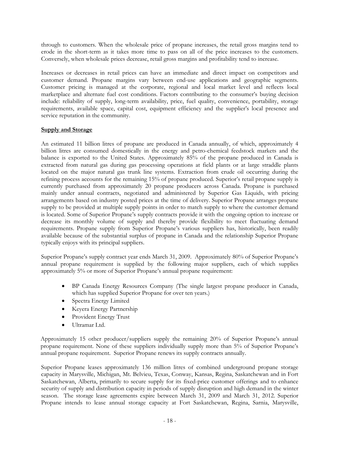through to customers. When the wholesale price of propane increases, the retail gross margins tend to erode in the short-term as it takes more time to pass on all of the price increases to the customers. Conversely, when wholesale prices decrease, retail gross margins and profitability tend to increase.

Increases or decreases in retail prices can have an immediate and direct impact on competitors and customer demand. Propane margins vary between end-use applications and geographic segments. Customer pricing is managed at the corporate, regional and local market level and reflects local marketplace and alternate fuel cost conditions. Factors contributing to the consumer's buying decision include: reliability of supply, long-term availability, price, fuel quality, convenience, portability, storage requirements, available space, capital cost, equipment efficiency and the supplier's local presence and service reputation in the community.

## **Supply and Storage**

An estimated 11 billion litres of propane are produced in Canada annually, of which, approximately 4 billion litres are consumed domestically in the energy and petro-chemical feedstock markets and the balance is exported to the United States. Approximately 85% of the propane produced in Canada is extracted from natural gas during gas processing operations at field plants or at large straddle plants located on the major natural gas trunk line systems. Extraction from crude oil occurring during the refining process accounts for the remaining 15% of propane produced. Superior's retail propane supply is currently purchased from approximately 20 propane producers across Canada. Propane is purchased mainly under annual contracts, negotiated and administered by Superior Gas Liquids, with pricing arrangements based on industry posted prices at the time of delivery. Superior Propane arranges propane supply to be provided at multiple supply points in order to match supply to where the customer demand is located. Some of Superior Propane's supply contracts provide it with the ongoing option to increase or decrease its monthly volume of supply and thereby provide flexibility to meet fluctuating demand requirements. Propane supply from Superior Propane's various suppliers has, historically, been readily available because of the substantial surplus of propane in Canada and the relationship Superior Propane typically enjoys with its principal suppliers.

Superior Propane's supply contract year ends March 31, 2009. Approximately 80% of Superior Propane's annual propane requirement is supplied by the following major suppliers, each of which supplies approximately 5% or more of Superior Propane's annual propane requirement:

- BP Canada Energy Resources Company (The single largest propane producer in Canada, which has supplied Superior Propane for over ten years.)
- Spectra Energy Limited
- Keyera Energy Partnership
- Provident Energy Trust
- Ultramar Ltd.

Approximately 15 other producer/suppliers supply the remaining 20% of Superior Propane's annual propane requirement. None of these suppliers individually supply more than 5% of Superior Propane's annual propane requirement. Superior Propane renews its supply contracts annually.

Superior Propane leases approximately 136 million litres of combined underground propane storage capacity in Marysville, Michigan, Mt. Belvieu, Texas, Conway, Kansas, Regina, Saskatchewan and in Fort Saskatchewan, Alberta, primarily to secure supply for its fixed-price customer offerings and to enhance security of supply and distribution capacity in periods of supply disruption and high demand in the winter season. The storage lease agreements expire between March 31, 2009 and March 31, 2012. Superior Propane intends to lease annual storage capacity at Fort Saskatchewan, Regina, Sarnia, Marysville,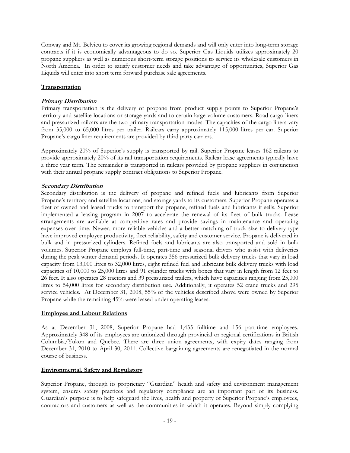Conway and Mt. Belvieu to cover its growing regional demands and will only enter into long-term storage contracts if it is economically advantageous to do so. Superior Gas Liquids utilizes approximately 20 propane suppliers as well as numerous short-term storage positions to service its wholesale customers in North America. In order to satisfy customer needs and take advantage of opportunities, Superior Gas Liquids will enter into short term forward purchase sale agreements.

## **Transportation**

## **Primary Distribution**

Primary transportation is the delivery of propane from product supply points to Superior Propane's territory and satellite locations or storage yards and to certain large volume customers. Road cargo liners and pressurized railcars are the two primary transportation modes. The capacities of the cargo liners vary from 35,000 to 65,000 litres per trailer. Railcars carry approximately 115,000 litres per car. Superior Propane's cargo liner requirements are provided by third party carriers.

Approximately 20% of Superior's supply is transported by rail. Superior Propane leases 162 railcars to provide approximately 20% of its rail transportation requirements. Railcar lease agreements typically have a three year term. The remainder is transported in railcars provided by propane suppliers in conjunction with their annual propane supply contract obligations to Superior Propane.

## **Secondary Distribution**

Secondary distribution is the delivery of propane and refined fuels and lubricants from Superior Propane's territory and satellite locations, and storage yards to its customers. Superior Propane operates a fleet of owned and leased trucks to transport the propane, refined fuels and lubricants it sells. Superior implemented a leasing program in 2007 to accelerate the renewal of its fleet of bulk trucks. Lease arrangements are available at competitive rates and provide savings in maintenance and operating expenses over time. Newer, more reliable vehicles and a better matching of truck size to delivery type have improved employee productivity, fleet reliability, safety and customer service. Propane is delivered in bulk and in pressurized cylinders. Refined fuels and lubricants are also transported and sold in bulk volumes. Superior Propane employs full-time, part-time and seasonal drivers who assist with deliveries during the peak winter demand periods. It operates 356 pressurized bulk delivery trucks that vary in load capacity from 13,000 litres to 32,000 litres, eight refined fuel and lubricant bulk delivery trucks with load capacities of 10,000 to 25,000 litres and 91 cylinder trucks with boxes that vary in length from 12 feet to 26 feet. It also operates 28 tractors and 39 pressurized trailers, which have capacities ranging from 25,000 litres to 54,000 litres for secondary distribution use. Additionally, it operates 52 crane trucks and 295 service vehicles. At December 31, 2008, 55% of the vehicles described above were owned by Superior Propane while the remaining 45% were leased under operating leases.

## **Employee and Labour Relations**

As at December 31, 2008, Superior Propane had 1,435 fulltime and 156 part-time employees. Approximately 348 of its employees are unionized through provincial or regional certifications in British Columbia/Yukon and Quebec. There are three union agreements, with expiry dates ranging from December 31, 2010 to April 30, 2011. Collective bargaining agreements are renegotiated in the normal course of business.

## **Environmental, Safety and Regulatory**

Superior Propane, through its proprietary "Guardian" health and safety and environment management system, ensures safety practices and regulatory compliance are an important part of its business. Guardian's purpose is to help safeguard the lives, health and property of Superior Propane's employees, contractors and customers as well as the communities in which it operates. Beyond simply complying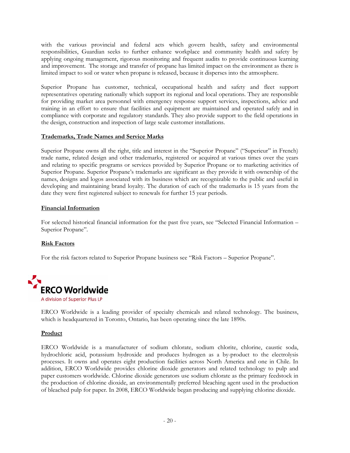with the various provincial and federal acts which govern health, safety and environmental responsibilities, Guardian seeks to further enhance workplace and community health and safety by applying ongoing management, rigorous monitoring and frequent audits to provide continuous learning and improvement. The storage and transfer of propane has limited impact on the environment as there is limited impact to soil or water when propane is released, because it disperses into the atmosphere.

Superior Propane has customer, technical, occupational health and safety and fleet support representatives operating nationally which support its regional and local operations. They are responsible for providing market area personnel with emergency response support services, inspections, advice and training in an effort to ensure that facilities and equipment are maintained and operated safely and in compliance with corporate and regulatory standards. They also provide support to the field operations in the design, construction and inspection of large scale customer installations.

## **Trademarks, Trade Names and Service Marks**

Superior Propane owns all the right, title and interest in the "Superior Propane" ("Superieur" in French) trade name, related design and other trademarks, registered or acquired at various times over the years and relating to specific programs or services provided by Superior Propane or to marketing activities of Superior Propane. Superior Propane's trademarks are significant as they provide it with ownership of the names, designs and logos associated with its business which are recognizable to the public and useful in developing and maintaining brand loyalty. The duration of each of the trademarks is 15 years from the date they were first registered subject to renewals for further 15 year periods.

## **Financial Information**

For selected historical financial information for the past five years, see "Selected Financial Information – Superior Propane".

## **Risk Factors**

For the risk factors related to Superior Propane business see "Risk Factors – Superior Propane".



ERCO Worldwide is a leading provider of specialty chemicals and related technology. The business, which is headquartered in Toronto, Ontario, has been operating since the late 1890s.

## **Product**

ERCO Worldwide is a manufacturer of sodium chlorate, sodium chlorite, chlorine, caustic soda, hydrochloric acid, potassium hydroxide and produces hydrogen as a by-product to the electrolysis processes. It owns and operates eight production facilities across North America and one in Chile. In addition, ERCO Worldwide provides chlorine dioxide generators and related technology to pulp and paper customers worldwide. Chlorine dioxide generators use sodium chlorate as the primary feedstock in the production of chlorine dioxide, an environmentally preferred bleaching agent used in the production of bleached pulp for paper. In 2008, ERCO Worldwide began producing and supplying chlorine dioxide.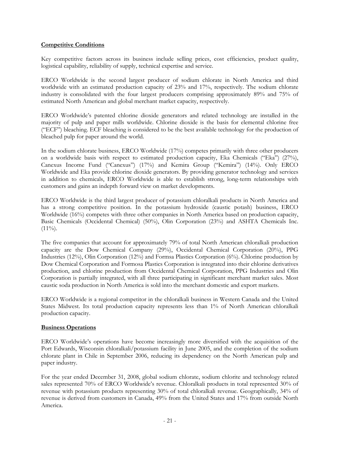## **Competitive Conditions**

Key competitive factors across its business include selling prices, cost efficiencies, product quality, logistical capability, reliability of supply, technical expertise and service.

ERCO Worldwide is the second largest producer of sodium chlorate in North America and third worldwide with an estimated production capacity of 23% and 17%, respectively. The sodium chlorate industry is consolidated with the four largest producers comprising approximately 89% and 75% of estimated North American and global merchant market capacity, respectively.

ERCO Worldwide's patented chlorine dioxide generators and related technology are installed in the majority of pulp and paper mills worldwide. Chlorine dioxide is the basis for elemental chlorine free ("ECF") bleaching. ECF bleaching is considered to be the best available technology for the production of bleached pulp for paper around the world.

In the sodium chlorate business, ERCO Worldwide (17%) competes primarily with three other producers on a worldwide basis with respect to estimated production capacity, Eka Chemicals ("Eka") (27%), Canexus Income Fund ("Canexus") (17%) and Kemira Group ("Kemira") (14%). Only ERCO Worldwide and Eka provide chlorine dioxide generators. By providing generator technology and services in addition to chemicals, ERCO Worldwide is able to establish strong, long-term relationships with customers and gains an indepth forward view on market developments.

ERCO Worldwide is the third largest producer of potassium chloralkali products in North America and has a strong competitive position. In the potassium hydroxide (caustic potash) business, ERCO Worldwide (16%) competes with three other companies in North America based on production capacity, Basic Chemicals (Occidental Chemical) (50%), Olin Corporation (23%) and ASHTA Chemicals Inc.  $(11\%)$ .

The five companies that account for approximately 79% of total North American chloralkali production capacity are the Dow Chemical Company (29%), Occidental Chemical Corporation (20%), PPG Industries (12%), Olin Corporation (12%) and Formsa Plastics Corporation (6%). Chlorine production by Dow Chemical Corporation and Formosa Plastics Corporation is integrated into their chlorine derivatives production, and chlorine production from Occidental Chemical Corporation, PPG Industries and Olin Corporation is partially integrated, with all three participating in significant merchant market sales. Most caustic soda production in North America is sold into the merchant domestic and export markets.

ERCO Worldwide is a regional competitor in the chloralkali business in Western Canada and the United States Midwest. Its total production capacity represents less than 1% of North American chloralkali production capacity.

## **Business Operations**

ERCO Worldwide's operations have become increasingly more diversified with the acquisition of the Port Edwards, Wisconsin chloralkali/potassium facility in June 2005, and the completion of the sodium chlorate plant in Chile in September 2006, reducing its dependency on the North American pulp and paper industry.

For the year ended December 31, 2008, global sodium chlorate, sodium chlorite and technology related sales represented 70% of ERCO Worldwide's revenue. Chloralkali products in total represented 30% of revenue with potassium products representing 30% of total chloralkali revenue. Geographically, 34% of revenue is derived from customers in Canada, 49% from the United States and 17% from outside North America.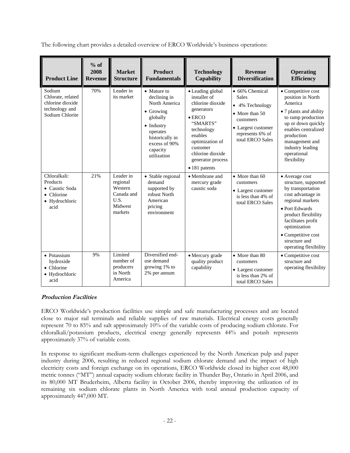The following chart provides a detailed overview of ERCO Worldwide's business operations:

| <b>Product Line</b>                                                                  | $%$ of<br>2008<br><b>Revenue</b> | <b>Market</b><br><b>Structure</b>                                            | <b>Product</b><br><b>Fundamentals</b>                                                                                                                                          | <b>Technology</b><br><b>Capability</b>                                                                                                                                                                             | <b>Revenue</b><br><b>Diversification</b>                                                                                                       | <b>Operating</b><br><b>Efficiency</b>                                                                                                                                                                                                               |
|--------------------------------------------------------------------------------------|----------------------------------|------------------------------------------------------------------------------|--------------------------------------------------------------------------------------------------------------------------------------------------------------------------------|--------------------------------------------------------------------------------------------------------------------------------------------------------------------------------------------------------------------|------------------------------------------------------------------------------------------------------------------------------------------------|-----------------------------------------------------------------------------------------------------------------------------------------------------------------------------------------------------------------------------------------------------|
| Sodium<br>Chlorate, related<br>chlorine dioxide<br>technology and<br>Sodium Chlorite | 70%                              | Leader in<br>its market                                                      | • Mature to<br>declining in<br>North America<br>$\bullet$ Growing<br>globally<br>$\bullet$ Industry<br>operates<br>historically in<br>excess of 90%<br>capacity<br>utilization | • Leading global<br>installer of<br>chlorine dioxide<br>generators<br>$\bullet$ ERCO<br>"SMARTS"<br>technology<br>enables<br>optimization of<br>customer<br>chlorine dioxide<br>generator process<br>• 181 patents | • 66% Chemical<br><b>Sales</b><br>• 4% Technology<br>• More than 50<br>customers<br>• Largest customer<br>represents 6% of<br>total ERCO Sales | • Competitive cost<br>position in North<br>America<br>• 7 plants and ability<br>to ramp production<br>up or down quickly<br>enables centralized<br>production<br>management and<br>industry leading<br>operational<br>flexibility                   |
| Chloralkali:<br>Products<br>• Caustic Soda<br>• Chlorine<br>• Hydrochloric<br>acid   | 21%                              | Leader in<br>regional<br>Western<br>Canada and<br>U.S.<br>Midwest<br>markets | • Stable regional<br>demand<br>supported by<br>robust North<br>American<br>pricing<br>environment                                                                              | • Membrane and<br>mercury grade<br>caustic soda                                                                                                                                                                    | • More than 60<br>customers<br>• Largest customer<br>is less than 4% of<br>total ERCO Sales                                                    | • Average cost<br>structure, supported<br>by transportation<br>cost advantage in<br>regional markets<br>• Port Edwards<br>product flexibility<br>facilitates profit<br>optimization<br>• Competitive cost<br>structure and<br>operating flexibility |
| $\bullet$ Potassium<br>hydroxide<br>$\bullet$ Chlorine<br>• Hydrochloric<br>acid     | 9%                               | Limited<br>number of<br>producers<br>in North<br>America                     | Diversified end-<br>use demand<br>growing 1% to<br>2% per annum                                                                                                                | • Mercury grade<br>quality product<br>capability                                                                                                                                                                   | • More than 80<br>customers<br>• Largest customer<br>is less than 2% of<br>total ERCO Sales                                                    | • Competitive cost<br>structure and<br>operating flexibility                                                                                                                                                                                        |

## **Production Facilities**

ERCO Worldwide's production facilities use simple and safe manufacturing processes and are located close to major rail terminals and reliable supplies of raw materials. Electrical energy costs generally represent 70 to 85% and salt approximately 10% of the variable costs of producing sodium chlorate. For chloralkali/potassium products, electrical energy generally represents 44% and potash represents approximately 37% of variable costs.

In response to significant medium-term challenges experienced by the North American pulp and paper industry during 2006, resulting in reduced regional sodium chlorate demand and the impact of high electricity costs and foreign exchange on its operations, ERCO Worldwide closed its higher cost 48,000 metric tonnes ("MT") annual capacity sodium chlorate facility in Thunder Bay, Ontario in April 2006, and its 80,000 MT Bruderheim, Alberta facility in October 2006, thereby improving the utilization of its remaining six sodium chlorate plants in North America with total annual production capacity of approximately 447,000 MT.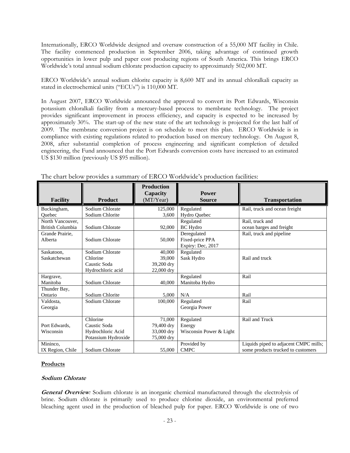Internationally, ERCO Worldwide designed and oversaw construction of a 55,000 MT facility in Chile. The facility commenced production in September 2006, taking advantage of continued growth opportunities in lower pulp and paper cost producing regions of South America. This brings ERCO Worldwide's total annual sodium chlorate production capacity to approximately 502,000 MT.

ERCO Worldwide's annual sodium chlorite capacity is 8,600 MT and its annual chloralkali capacity as stated in electrochemical units ("ECUs") is 110,000 MT.

In August 2007, ERCO Worldwide announced the approval to convert its Port Edwards, Wisconsin potassium chloralkali facility from a mercury-based process to membrane technology. The project provides significant improvement in process efficiency, and capacity is expected to be increased by approximately 30%. The start-up of the new state of the art technology is projected for the last half of 2009. The membrane conversion project is on schedule to meet this plan. ERCO Worldwide is in compliance with existing regulations related to production based on mercury technology. On August 8, 2008, after substantial completion of process engineering and significant completion of detailed engineering, the Fund announced that the Port Edwards conversion costs have increased to an estimated US \$130 million (previously US \$95 million).

| <b>Facility</b>         | <b>Product</b>      | <b>Production</b><br>Capacity<br>(MT/Year) | <b>Power</b><br><b>Source</b> | <b>Transportation</b>                 |
|-------------------------|---------------------|--------------------------------------------|-------------------------------|---------------------------------------|
| Buckingham,             | Sodium Chlorate     | 125,000                                    | Regulated                     | Rail, truck and ocean freight         |
| Ouebec                  | Sodium Chlorite     | 3,600                                      | Hydro Quebec                  |                                       |
| North Vancouver,        |                     |                                            | Regulated                     | Rail, truck and                       |
| <b>British Columbia</b> | Sodium Chlorate     | 92,000                                     | <b>BC</b> Hydro               | ocean barges and freight              |
| Grande Prairie,         |                     |                                            | Deregulated                   | Rail, truck and pipeline              |
| Alberta                 | Sodium Chlorate     | 50,000                                     | Fixed-price PPA               |                                       |
|                         |                     |                                            | Expiry: Dec, 2017             |                                       |
| Saskatoon,              | Sodium Chlorate     | 40,000                                     | Regulated                     |                                       |
| Saskatchewan            | Chlorine            | 39,000                                     | Sask Hydro                    | Rail and truck                        |
|                         | Caustic Soda        | 39,200 dry                                 |                               |                                       |
|                         | Hydrochloric acid   | 22,000 dry                                 |                               |                                       |
| Hargrave,               |                     |                                            | Regulated                     | Rail                                  |
| Manitoba                | Sodium Chlorate     | 40,000                                     | Manitoba Hydro                |                                       |
| Thunder Bay,            |                     |                                            |                               |                                       |
| Ontario                 | Sodium Chlorite     | 5,000                                      | N/A                           | Rail                                  |
| Valdosta,               | Sodium Chlorate     | 100,000                                    | Regulated                     | Rail                                  |
| Georgia                 |                     |                                            | Georgia Power                 |                                       |
|                         |                     |                                            |                               |                                       |
|                         | Chlorine            | 71,000                                     | Regulated                     | Rail and Truck                        |
| Port Edwards,           | Caustic Soda        | 79,400 dry                                 | Energy                        |                                       |
| Wisconsin               | Hydrochloric Acid   | 33,000 dry                                 | Wisconsin Power & Light       |                                       |
|                         | Potassium Hydroxide | 75,000 dry                                 |                               |                                       |
| Mininco,                |                     |                                            | Provided by                   | Liquids piped to adjacent CMPC mills; |
| IX Region, Chile        | Sodium Chlorate     | 55,000                                     | <b>CMPC</b>                   | some products trucked to customers    |

The chart below provides a summary of ERCO Worldwide's production facilities:

## **Products**

#### **Sodium Chlorate**

**General Overview***:* Sodium chlorate is an inorganic chemical manufactured through the electrolysis of brine. Sodium chlorate is primarily used to produce chlorine dioxide, an environmental preferred bleaching agent used in the production of bleached pulp for paper. ERCO Worldwide is one of two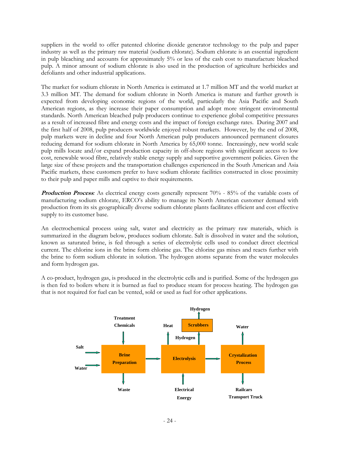suppliers in the world to offer patented chlorine dioxide generator technology to the pulp and paper industry as well as the primary raw material (sodium chlorate). Sodium chlorate is an essential ingredient in pulp bleaching and accounts for approximately 5% or less of the cash cost to manufacture bleached pulp. A minor amount of sodium chlorate is also used in the production of agriculture herbicides and defoliants and other industrial applications.

The market for sodium chlorate in North America is estimated at 1.7 million MT and the world market at 3.3 million MT. The demand for sodium chlorate in North America is mature and further growth is expected from developing economic regions of the world, particularly the Asia Pacific and South American regions, as they increase their paper consumption and adopt more stringent environmental standards. North American bleached pulp producers continue to experience global competitive pressures as a result of increased fibre and energy costs and the impact of foreign exchange rates. During 2007 and the first half of 2008, pulp producers worldwide enjoyed robust markets. However, by the end of 2008, pulp markets were in decline and four North American pulp producers announced permanent closures reducing demand for sodium chlorate in North America by 65,000 tonne. Increasingly, new world scale pulp mills locate and/or expand production capacity in off-shore regions with significant access to low cost, renewable wood fibre, relatively stable energy supply and supportive government policies. Given the large size of these projects and the transportation challenges experienced in the South American and Asia Pacific markets, these customers prefer to have sodium chlorate facilities constructed in close proximity to their pulp and paper mills and captive to their requirements.

**Production Process**: As electrical energy costs generally represent 70% - 85% of the variable costs of manufacturing sodium chlorate, ERCO's ability to manage its North American customer demand with production from its six geographically diverse sodium chlorate plants facilitates efficient and cost effective supply to its customer base.

An electrochemical process using salt, water and electricity as the primary raw materials, which is summarized in the diagram below, produces sodium chlorate. Salt is dissolved in water and the solution, known as saturated brine, is fed through a series of electrolytic cells used to conduct direct electrical current. The chlorine ions in the brine form chlorine gas. The chlorine gas mixes and reacts further with the brine to form sodium chlorate in solution. The hydrogen atoms separate from the water molecules and form hydrogen gas.

A co-product, hydrogen gas, is produced in the electrolytic cells and is purified. Some of the hydrogen gas is then fed to boilers where it is burned as fuel to produce steam for process heating. The hydrogen gas that is not required for fuel can be vented, sold or used as fuel for other applications.

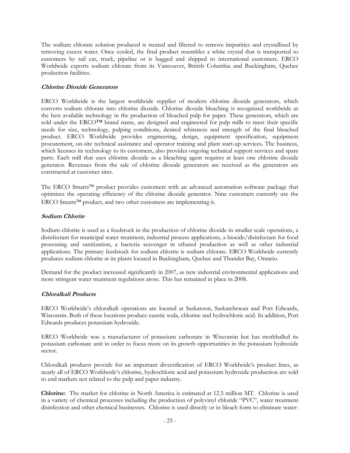The sodium chlorate solution produced is treated and filtered to remove impurities and crystallized by removing excess water. Once cooled, the final product resembles a white crystal that is transported to customers by rail car, truck, pipeline or is bagged and shipped to international customers. ERCO Worldwide exports sodium chlorate from its Vancouver, British Columbia and Buckingham, Quebec production facilities.

## **Chlorine Dioxide Generators**

ERCO Worldwide is the largest worldwide supplier of modern chlorine dioxide generators, which converts sodium chlorate into chlorine dioxide. Chlorine dioxide bleaching is recognized worldwide as the best available technology in the production of bleached pulp for paper. These generators, which are sold under the ERCO™ brand name, are designed and engineered for pulp mills to meet their specific needs for size, technology, pulping conditions, desired whiteness and strength of the final bleached product. ERCO Worldwide provides engineering, design, equipment specification, equipment procurement, on-site technical assistance and operator training and plant start-up services. The business, which licenses its technology to its customers, also provides ongoing technical support services and spare parts. Each mill that uses chlorine dioxide as a bleaching agent requires at least one chlorine dioxide generator. Revenues from the sale of chlorine dioxide generators are received as the generators are constructed at customer sites.

The ERCO Smarts™ product provides customers with an advanced automation software package that optimizes the operating efficiency of the chlorine dioxide generator. Nine customers currently use the ERCO Smarts™ product, and two other customers are implementing it.

## **Sodium Chlorite**

Sodium chlorite is used as a feedstock in the production of chlorine dioxide in smaller scale operations, a disinfectant for municipal water treatment, industrial process applications, a biocide/disinfectant for food processing and sanitization, a bacteria scavenger in ethanol production as well as other industrial applications. The primary feedstock for sodium chlorite is sodium chlorate. ERCO Worldwide currently produces sodium chlorite at its plants located in Buckingham, Quebec and Thunder Bay, Ontario.

Demand for the product increased significantly in 2007, as new industrial environmental applications and more stringent water treatment regulations arose. This has remained in place in 2008.

## **Chloralkali Products**

ERCO Worldwide's chloralkali operations are located at Saskatoon, Saskatchewan and Port Edwards, Wisconsin. Both of these locations produce caustic soda, chlorine and hydrochloric acid. In addition, Port Edwards produces potassium hydroxide.

ERCO Worldwide was a manufacturer of potassium carbonate in Wisconsin but has mothballed its potassium carbonate unit in order to focus more on its growth opportunities in the potassium hydroxide sector.

Chloralkali products provide for an important diversification of ERCO Worldwide's product lines, as nearly all of ERCO Worldwide's chlorine, hydrochloric acid and potassium hydroxide production are sold to end markets not related to the pulp and paper industry.

**Chlorine:** The market for chlorine in North America is estimated at 12.5 million MT. Chlorine is used in a variety of chemical processes including the production of polyvinyl chloride "PVC", water treatment disinfection and other chemical businesses. Chlorine is used directly or in bleach form to eliminate water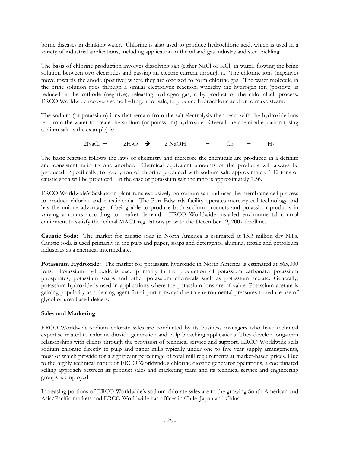borne diseases in drinking water. Chlorine is also used to produce hydrochloric acid, which is used in a variety of industrial applications, including application in the oil and gas industry and steel pickling.

The basis of chlorine production involves dissolving salt (either NaCl or KCl) in water, flowing the brine solution between two electrodes and passing an electric current through it. The chlorine ions (negative) move towards the anode (positive) where they are oxidized to form chlorine gas. The water molecule in the brine solution goes through a similar electrolytic reaction, whereby the hydrogen ion (positive) is reduced at the cathode (negative), releasing hydrogen gas, a by-product of the chlor-alkali process. ERCO Worldwide recovers some hydrogen for sale, to produce hydrochloric acid or to make steam.

The sodium (or potassium) ions that remain from the salt electrolysis then react with the hydroxide ions left from the water to create the sodium (or potassium) hydroxide. Overall the chemical equation (using sodium salt as the example) is:

 $2\text{NaCl} + 2\text{H}_2\text{O}$   $\rightarrow$   $2\text{NaOH}$  +  $\text{Cl}_2$  +  $\text{H}_2$ 

The basic reaction follows the laws of chemistry and therefore the chemicals are produced in a definite and consistent ratio to one another. Chemical equivalent amounts of the products will always be produced. Specifically, for every ton of chlorine produced with sodium salt, approximately 1.12 tons of caustic soda will be produced. In the case of potassium salt the ratio is approximately 1.56.

ERCO Worldwide's Saskatoon plant runs exclusively on sodium salt and uses the membrane cell process to produce chlorine and caustic soda. The Port Edwards facility operates mercury cell technology and has the unique advantage of being able to produce both sodium products and potassium products in varying amounts according to market demand. ERCO Worldwide installed environmental control equipment to satisfy the federal MACT regulations prior to the December 19, 2007 deadline.

 **Caustic Soda:** The market for caustic soda in North America is estimated at 13.3 million dry MTs. Caustic soda is used primarily in the pulp and paper, soaps and detergents, alumina, textile and petroleum industries as a chemical intermediate.

**Potassium Hydroxide:** The market for potassium hydroxide in North America is estimated at 565,000 tons. Potassium hydroxide is used primarily in the production of potassium carbonate, potassium phosphates, potassium soaps and other potassium chemicals such as potassium acetate. Generally, potassium hydroxide is used in applications where the potassium ions are of value. Potassium acetate is gaining popularity as a deicing agent for airport runways due to environmental pressures to reduce use of glycol or urea based deicers.

## **Sales and Marketing**

ERCO Worldwide sodium chlorate sales are conducted by its business managers who have technical expertise related to chlorine dioxide generation and pulp bleaching applications. They develop long-term relationships with clients through the provision of technical service and support. ERCO Worldwide sells sodium chlorate directly to pulp and paper mills typically under one to five year supply arrangements, most of which provide for a significant percentage of total mill requirements at market-based prices. Due to the highly technical nature of ERCO Worldwide's chlorine dioxide generator operations, a coordinated selling approach between its product sales and marketing team and its technical service and engineering groups is employed.

Increasing portions of ERCO Worldwide's sodium chlorate sales are to the growing South American and Asia/Pacific markets and ERCO Worldwide has offices in Chile, Japan and China.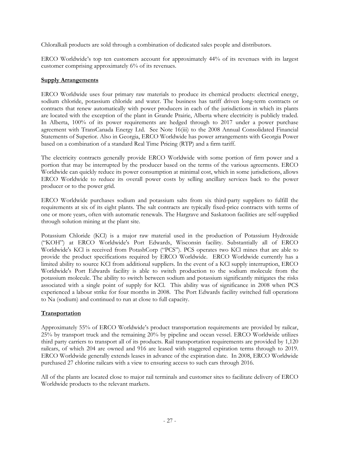Chloralkali products are sold through a combination of dedicated sales people and distributors.

ERCO Worldwide's top ten customers account for approximately 44% of its revenues with its largest customer comprising approximately 6% of its revenues.

## **Supply Arrangements**

ERCO Worldwide uses four primary raw materials to produce its chemical products: electrical energy, sodium chloride, potassium chloride and water. The business has tariff driven long-term contracts or contracts that renew automatically with power producers in each of the jurisdictions in which its plants are located with the exception of the plant in Grande Prairie, Alberta where electricity is publicly traded. In Alberta, 100% of its power requirements are hedged through to 2017 under a power purchase agreement with TransCanada Energy Ltd. See Note 16(iii) to the 2008 Annual Consolidated Financial Statements of Superior. Also in Georgia, ERCO Worldwide has power arrangements with Georgia Power based on a combination of a standard Real Time Pricing (RTP) and a firm tariff.

The electricity contracts generally provide ERCO Worldwide with some portion of firm power and a portion that may be interrupted by the producer based on the terms of the various agreements. ERCO Worldwide can quickly reduce its power consumption at minimal cost, which in some jurisdictions, allows ERCO Worldwide to reduce its overall power costs by selling ancillary services back to the power producer or to the power grid.

ERCO Worldwide purchases sodium and potassium salts from six third-party suppliers to fulfill the requirements at six of its eight plants. The salt contracts are typically fixed-price contracts with terms of one or more years, often with automatic renewals. The Hargrave and Saskatoon facilities are self-supplied through solution mining at the plant site.

Potassium Chloride (KCl) is a major raw material used in the production of Potassium Hydroxide ("KOH") at ERCO Worldwide's Port Edwards, Wisconsin facility. Substantially all of ERCO Worldwide's KCl is received from PotashCorp ("PCS"). PCS operates two KCl mines that are able to provide the product specifications required by ERCO Worldwide. ERCO Worldwide currently has a limited ability to source KCl from additional suppliers. In the event of a KCl supply interruption, ERCO Worldwide's Port Edwards facility is able to switch production to the sodium molecule from the potassium molecule. The ability to switch between sodium and potassium significantly mitigates the risks associated with a single point of supply for KCl. This ability was of significance in 2008 when PCS experienced a labour strike for four months in 2008. The Port Edwards facility switched full operations to Na (sodium) and continued to run at close to full capacity.

## **Transportation**

Approximately 55% of ERCO Worldwide's product transportation requirements are provided by railcar, 25% by transport truck and the remaining 20% by pipeline and ocean vessel. ERCO Worldwide utilizes third party carriers to transport all of its products. Rail transportation requirements are provided by 1,120 railcars, of which 204 are owned and 916 are leased with staggered expiration terms through to 2019. ERCO Worldwide generally extends leases in advance of the expiration date. In 2008, ERCO Worldwide purchased 27 chlorine railcars with a view to ensuring access to such cars through 2016.

All of the plants are located close to major rail terminals and customer sites to facilitate delivery of ERCO Worldwide products to the relevant markets.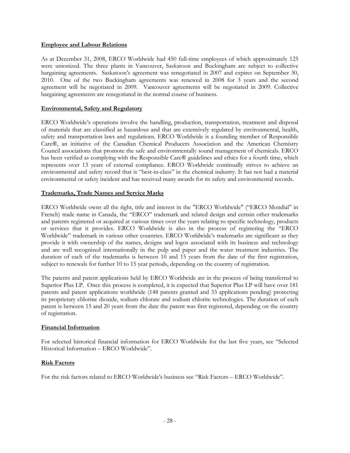#### **Employee and Labour Relations**

As at December 31, 2008, ERCO Worldwide had 450 full-time employees of which approximately 125 were unionized. The three plants in Vancouver, Saskatoon and Buckingham are subject to collective bargaining agreements. Saskatoon's agreement was renegotiated in 2007 and expires on September 30, 2010. One of the two Buckingham agreements was renewed in 2008 for 3 years and the second agreement will be negotiated in 2009. Vancouver agreements will be negotiated in 2009. Collective bargaining agreements are renegotiated in the normal course of business.

## **Environmental, Safety and Regulatory**

ERCO Worldwide's operations involve the handling, production, transportation, treatment and disposal of materials that are classified as hazardous and that are extensively regulated by environmental, health, safety and transportation laws and regulations. ERCO Worldwide is a founding member of Responsible Care®, an initiative of the Canadian Chemical Producers Association and the American Chemistry Council associations that promote the safe and environmentally sound management of chemicals. ERCO has been verified as complying with the Responsible Care® guidelines and ethics for a fourth time, which represents over 13 years of external compliance. ERCO Worldwide continually strives to achieve an environmental and safety record that is "best-in-class" in the chemical industry. It has not had a material environmental or safety incident and has received many awards for its safety and environmental records.

## **Trademarks, Trade Names and Service Marks**

ERCO Worldwide owns all the right, title and interest in the "ERCO Worldwide" ("ERCO Mondial" in French) trade name in Canada, the "ERCO" trademark and related design and certain other trademarks and patents registered or acquired at various times over the years relating to specific technology, products or services that it provides. ERCO Worldwide is also in the process of registering the "ERCO Worldwide" trademark in various other countries. ERCO Worldwide's trademarks are significant as they provide it with ownership of the names, designs and logos associated with its business and technology and are well recognized internationally in the pulp and paper and the water treatment industries. The duration of each of the trademarks is between 10 and 15 years from the date of the first registration, subject to renewals for further 10 to 15 year periods, depending on the country of registration.

The patents and patent applications held by ERCO Worldwide are in the process of being transferred to Superior Plus LP. Once this process is completed, it is expected that Superior Plus LP will have over 181 patents and patent applications worldwide (148 patents granted and 33 applications pending) protecting its proprietary chlorine dioxide, sodium chlorate and sodium chlorite technologies. The duration of each patent is between 15 and 20 years from the date the patent was first registered, depending on the country of registration.

## **Financial Information**

For selected historical financial information for ERCO Worldwide for the last five years, see "Selected Historical Information – ERCO Worldwide".

## **Risk Factors**

For the risk factors related to ERCO Worldwide's business see "Risk Factors – ERCO Worldwide".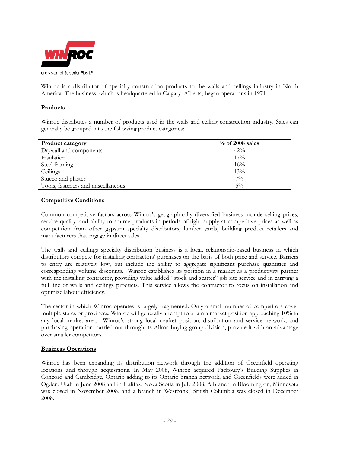

Winroc is a distributor of specialty construction products to the walls and ceilings industry in North America. The business, which is headquartered in Calgary, Alberta, began operations in 1971.

## **Products**

Winroc distributes a number of products used in the walls and ceiling construction industry. Sales can generally be grouped into the following product categories:

| <b>Product category</b>            | $\%$ of 2008 sales |
|------------------------------------|--------------------|
| Drywall and components             | 42%                |
| Insulation                         | 17%                |
| Steel framing                      | 16%                |
| Ceilings                           | 13%                |
| Stucco and plaster                 | $7\%$              |
| Tools, fasteners and miscellaneous | $5\%$              |

## **Competitive Conditions**

Common competitive factors across Winroc's geographically diversified business include selling prices, service quality, and ability to source products in periods of tight supply at competitive prices as well as competition from other gypsum specialty distributors, lumber yards, building product retailers and manufacturers that engage in direct sales.

The walls and ceilings specialty distribution business is a local, relationship-based business in which distributors compete for installing contractors' purchases on the basis of both price and service. Barriers to entry are relatively low, but include the ability to aggregate significant purchase quantities and corresponding volume discounts. Winroc establishes its position in a market as a productivity partner with the installing contractor, providing value added "stock and scatter" job site service and in carrying a full line of walls and ceilings products. This service allows the contractor to focus on installation and optimize labour efficiency.

The sector in which Winroc operates is largely fragmented. Only a small number of competitors cover multiple states or provinces. Winroc will generally attempt to attain a market position approaching 10% in any local market area. Winroc's strong local market position, distribution and service network, and purchasing operation, carried out through its Allroc buying group division, provide it with an advantage over smaller competitors.

## **Business Operations**

Winroc has been expanding its distribution network through the addition of Greenfield operating locations and through acquisitions. In May 2008, Winroc acquired Fackoury's Building Supplies in Concord and Cambridge, Ontario adding to its Ontario branch network, and Greenfields were added in Ogden, Utah in June 2008 and in Halifax, Nova Scotia in July 2008. A branch in Bloomington, Minnesota was closed in November 2008, and a branch in Westbank, British Columbia was closed in December 2008.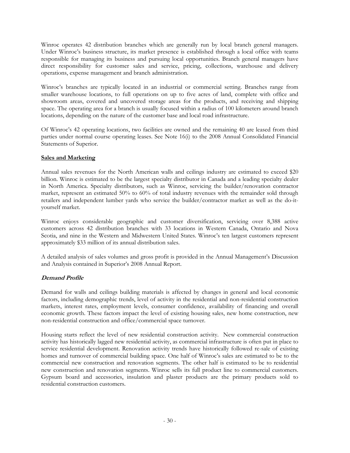Winroc operates 42 distribution branches which are generally run by local branch general managers. Under Winroc's business structure, its market presence is established through a local office with teams responsible for managing its business and pursuing local opportunities. Branch general managers have direct responsibility for customer sales and service, pricing, collections, warehouse and delivery operations, expense management and branch administration.

Winroc's branches are typically located in an industrial or commercial setting. Branches range from smaller warehouse locations, to full operations on up to five acres of land, complete with office and showroom areas, covered and uncovered storage areas for the products, and receiving and shipping space. The operating area for a branch is usually focused within a radius of 100 kilometers around branch locations, depending on the nature of the customer base and local road infrastructure.

Of Winroc's 42 operating locations, two facilities are owned and the remaining 40 are leased from third parties under normal course operating leases. See Note 16(i) to the 2008 Annual Consolidated Financial Statements of Superior.

## **Sales and Marketing**

Annual sales revenues for the North American walls and ceilings industry are estimated to exceed \$20 billion. Winroc is estimated to be the largest specialty distributor in Canada and a leading specialty dealer in North America. Specialty distributors, such as Winroc, servicing the builder/renovation contractor market, represent an estimated 50% to 60% of total industry revenues with the remainder sold through retailers and independent lumber yards who service the builder/contractor market as well as the do-ityourself market.

Winroc enjoys considerable geographic and customer diversification, servicing over 8,388 active customers across 42 distribution branches with 33 locations in Western Canada, Ontario and Nova Scotia, and nine in the Western and Midwestern United States. Winroc's ten largest customers represent approximately \$33 million of its annual distribution sales.

A detailed analysis of sales volumes and gross profit is provided in the Annual Management's Discussion and Analysis contained in Superior's 2008 Annual Report.

## **Demand Profile**

Demand for walls and ceilings building materials is affected by changes in general and local economic factors, including demographic trends, level of activity in the residential and non-residential construction markets, interest rates, employment levels, consumer confidence, availability of financing and overall economic growth. These factors impact the level of existing housing sales, new home construction, new non-residential construction and office/commercial space turnover.

Housing starts reflect the level of new residential construction activity. New commercial construction activity has historically lagged new residential activity, as commercial infrastructure is often put in place to service residential development. Renovation activity trends have historically followed re-sale of existing homes and turnover of commercial building space. One half of Winroc's sales are estimated to be to the commercial new construction and renovation segments. The other half is estimated to be to residential new construction and renovation segments. Winroc sells its full product line to commercial customers. Gypsum board and accessories, insulation and plaster products are the primary products sold to residential construction customers.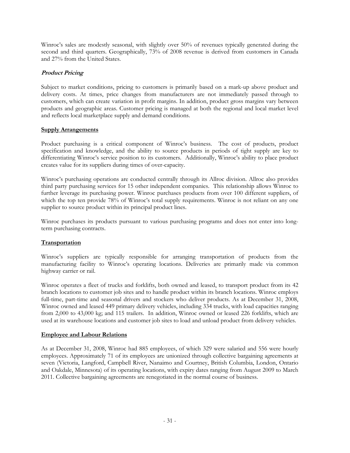Winroc's sales are modestly seasonal, with slightly over 50% of revenues typically generated during the second and third quarters. Geographically, 73% of 2008 revenue is derived from customers in Canada and 27% from the United States.

## **Product Pricing**

Subject to market conditions, pricing to customers is primarily based on a mark-up above product and delivery costs. At times, price changes from manufacturers are not immediately passed through to customers, which can create variation in profit margins. In addition, product gross margins vary between products and geographic areas. Customer pricing is managed at both the regional and local market level and reflects local marketplace supply and demand conditions.

## **Supply Arrangements**

Product purchasing is a critical component of Winroc's business. The cost of products, product specification and knowledge, and the ability to source products in periods of tight supply are key to differentiating Winroc's service position to its customers. Additionally, Winroc's ability to place product creates value for its suppliers during times of over-capacity.

Winroc's purchasing operations are conducted centrally through its Allroc division. Allroc also provides third party purchasing services for 15 other independent companies. This relationship allows Winroc to further leverage its purchasing power. Winroc purchases products from over 100 different suppliers, of which the top ten provide 78% of Winroc's total supply requirements. Winroc is not reliant on any one supplier to source product within its principal product lines.

Winroc purchases its products pursuant to various purchasing programs and does not enter into longterm purchasing contracts.

## **Transportation**

Winroc's suppliers are typically responsible for arranging transportation of products from the manufacturing facility to Winroc's operating locations. Deliveries are primarily made via common highway carrier or rail.

Winroc operates a fleet of trucks and forklifts, both owned and leased, to transport product from its 42 branch locations to customer job sites and to handle product within its branch locations. Winroc employs full-time, part-time and seasonal drivers and stockers who deliver products. As at December 31, 2008, Winroc owned and leased 449 primary delivery vehicles, including 334 trucks, with load capacities ranging from 2,000 to 43,000 kg; and 115 trailers. In addition, Winroc owned or leased 226 forklifts, which are used at its warehouse locations and customer job sites to load and unload product from delivery vehicles.

#### **Employee and Labour Relations**

As at December 31, 2008, Winroc had 885 employees, of which 329 were salaried and 556 were hourly employees. Approximately 71 of its employees are unionized through collective bargaining agreements at seven (Victoria, Langford, Campbell River, Nanaimo and Courtney, British Columbia, London, Ontario and Oakdale, Minnesota) of its operating locations, with expiry dates ranging from August 2009 to March 2011. Collective bargaining agreements are renegotiated in the normal course of business.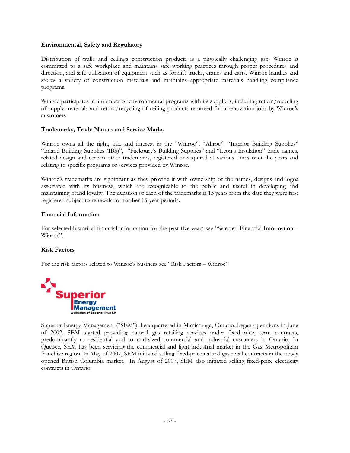## **Environmental, Safety and Regulatory**

Distribution of walls and ceilings construction products is a physically challenging job. Winroc is committed to a safe workplace and maintains safe working practices through proper procedures and direction, and safe utilization of equipment such as forklift trucks, cranes and carts. Winroc handles and stores a variety of construction materials and maintains appropriate materials handling compliance programs.

Winroc participates in a number of environmental programs with its suppliers, including return/recycling of supply materials and return/recycling of ceiling products removed from renovation jobs by Winroc's customers.

## **Trademarks, Trade Names and Service Marks**

Winroc owns all the right, title and interest in the "Winroc", "Allroc", "Interior Building Supplies" "Inland Building Supplies (IBS)", "Fackoury's Building Supplies" and "Leon's Insulation" trade names, related design and certain other trademarks, registered or acquired at various times over the years and relating to specific programs or services provided by Winroc.

Winroc's trademarks are significant as they provide it with ownership of the names, designs and logos associated with its business, which are recognizable to the public and useful in developing and maintaining brand loyalty. The duration of each of the trademarks is 15 years from the date they were first registered subject to renewals for further 15-year periods.

#### **Financial Information**

For selected historical financial information for the past five years see "Selected Financial Information – Winroc".

## **Risk Factors**

For the risk factors related to Winroc's business see "Risk Factors – Winroc".



Superior Energy Management ("SEM"), headquartered in Mississauga, Ontario, began operations in June of 2002. SEM started providing natural gas retailing services under fixed-price, term contracts, predominantly to residential and to mid-sized commercial and industrial customers in Ontario. In Quebec, SEM has been servicing the commercial and light industrial market in the Gaz Metropolitain franchise region. In May of 2007, SEM initiated selling fixed-price natural gas retail contracts in the newly opened British Columbia market. In August of 2007, SEM also initiated selling fixed-price electricity contracts in Ontario.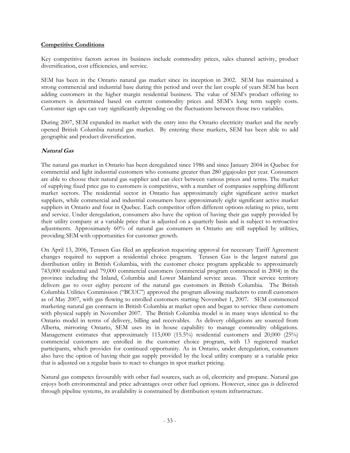#### **Competitive Conditions**

Key competitive factors across its business include commodity prices, sales channel activity, product diversification, cost efficiencies, and service.

SEM has been in the Ontario natural gas market since its inception in 2002. SEM has maintained a strong commercial and industrial base during this period and over the last couple of years SEM has been adding customers in the higher margin residential business. The value of SEM's product offering to customers is determined based on current commodity prices and SEM's long term supply costs. Customer sign ups can vary significantly depending on the fluctuations between those two variables.

During 2007, SEM expanded its market with the entry into the Ontario electricity market and the newly opened British Columbia natural gas market. By entering these markets, SEM has been able to add geographic and product diversification.

## **Natural Gas**

The natural gas market in Ontario has been deregulated since 1986 and since January 2004 in Quebec for commercial and light industrial customers who consume greater than 280 gigajoules per year. Consumers are able to choose their natural gas supplier and can elect between various prices and terms. The market of supplying fixed price gas to customers is competitive, with a number of companies supplying different market sectors. The residential sector in Ontario has approximately eight significant active market suppliers, while commercial and industrial consumers have approximately eight significant active market suppliers in Ontario and four in Quebec. Each competitor offers different options relating to price, term and service. Under deregulation, consumers also have the option of having their gas supply provided by their utility company at a variable price that is adjusted on a quarterly basis and is subject to retroactive adjustments. Approximately 60% of natural gas consumers in Ontario are still supplied by utilities, providing SEM with opportunities for customer growth.

On April 13, 2006, Terasen Gas filed an application requesting approval for necessary Tariff Agreement changes required to support a residential choice program. Terasen Gas is the largest natural gas distribution utility in British Columbia, with the customer choice program applicable to approximately 743,000 residential and 79,000 commercial customers (commercial program commenced in 2004) in the province including the Inland, Columbia and Lower Mainland service areas. Their service territory delivers gas to over eighty percent of the natural gas customers in British Columbia. The British Columbia Utilities Commission ("BCUC") approved the program allowing marketers to enroll customers as of May 2007, with gas flowing to enrolled customers starting November 1, 2007. SEM commenced marketing natural gas contracts in British Columbia at market open and began to service these customers with physical supply in November 2007. The British Columbia model is in many ways identical to the Ontario model in terms of delivery, billing and receivables. As delivery obligations are sourced from Alberta, mirroring Ontario, SEM uses its in house capability to manage commodity obligations. Management estimates that approximately 115,000 (15.5%) residential customers and 20,000 (25%) commercial customers are enrolled in the customer choice program, with 13 registered market participants, which provides for continued opportunity. As in Ontario, under deregulation, consumers also have the option of having their gas supply provided by the local utility company at a variable price that is adjusted on a regular basis to react to changes in spot market pricing.

Natural gas competes favourably with other fuel sources, such as oil, electricity and propane. Natural gas enjoys both environmental and price advantages over other fuel options. However, since gas is delivered through pipeline systems, its availability is constrained by distribution system infrastructure.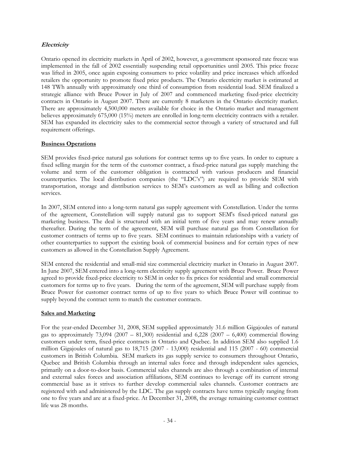## **Electricity**

Ontario opened its electricity markets in April of 2002, however, a government sponsored rate freeze was implemented in the fall of 2002 essentially suspending retail opportunities until 2005. This price freeze was lifted in 2005, once again exposing consumers to price volatility and price increases which afforded retailers the opportunity to promote fixed price products. The Ontario electricity market is estimated at 148 TWh annually with approximately one third of consumption from residential load. SEM finalized a strategic alliance with Bruce Power in July of 2007 and commenced marketing fixed-price electricity contracts in Ontario in August 2007. There are currently 8 marketers in the Ontario electricity market. There are approximately 4,500,000 meters available for choice in the Ontario market and management believes approximately 675,000 (15%) meters are enrolled in long-term electricity contracts with a retailer. SEM has expanded its electricity sales to the commercial sector through a variety of structured and full requirement offerings.

## **Business Operations**

SEM provides fixed-price natural gas solutions for contract terms up to five years. In order to capture a fixed selling margin for the term of the customer contract, a fixed-price natural gas supply matching the volume and term of the customer obligation is contracted with various producers and financial counterparties. The local distribution companies (the "LDC's") are required to provide SEM with transportation, storage and distribution services to SEM's customers as well as billing and collection services.

In 2007, SEM entered into a long-term natural gas supply agreement with Constellation. Under the terms of the agreement, Constellation will supply natural gas to support SEM's fixed-priced natural gas marketing business. The deal is structured with an initial term of five years and may renew annually thereafter. During the term of the agreement, SEM will purchase natural gas from Constellation for customer contracts of terms up to five years. SEM continues to maintain relationships with a variety of other counterparties to support the existing book of commercial business and for certain types of new customers as allowed in the Constellation Supply Agreement.

SEM entered the residential and small-mid size commercial electricity market in Ontario in August 2007. In June 2007, SEM entered into a long-term electricity supply agreement with Bruce Power. Bruce Power agreed to provide fixed-price electricity to SEM in order to fix prices for residential and small commercial customers for terms up to five years. During the term of the agreement, SEM will purchase supply from Bruce Power for customer contract terms of up to five years to which Bruce Power will continue to supply beyond the contract term to match the customer contracts.

#### **Sales and Marketing**

For the year-ended December 31, 2008, SEM supplied approximately 31.6 million Gigajoules of natural gas to approximately  $73,094$  (2007 – 81,300) residential and 6,228 (2007 – 6,400) commercial flowing customers under term, fixed-price contracts in Ontario and Quebec. In addition SEM also supplied 1.6 million Gigajoules of natural gas to 18,715 (2007 - 13,000) residential and 115 (2007 - 60) commercial customers in British Columbia. SEM markets its gas supply service to consumers throughout Ontario, Quebec and British Columbia through an internal sales force and through independent sales agencies, primarily on a door-to-door basis. Commercial sales channels are also through a combination of internal and external sales forces and association affiliations, SEM continues to leverage off its current strong commercial base as it strives to further develop commercial sales channels. Customer contracts are registered with and administered by the LDC. The gas supply contracts have terms typically ranging from one to five years and are at a fixed-price. At December 31, 2008, the average remaining customer contract life was 28 months.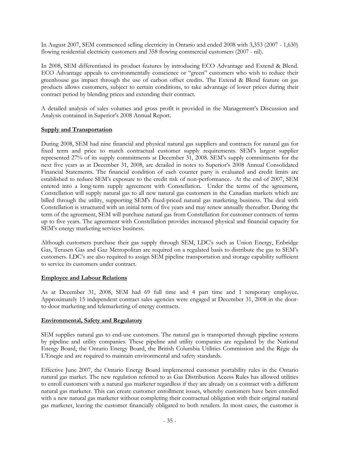In August 2007, SEM commenced selling electricity in Ontario and ended 2008 with 3,353 (2007 - 1,630) flowing residential electricity customers and 358 flowing commercial customers (2007 - nil).

In 2008, SEM differentiated its product features by introducing ECO Advantage and Extend & Blend. ECO Advantage appeals to environmentally conscience or "green" customers who wish to reduce their greenhouse gas impact through the use of carbon offset credits. The Extend & Blend feature on gas products allows customers, subject to certain conditions, to take advantage of lower prices during their contract period by blending prices and extending their contract.

A detailed analysis of sales volumes and gross profit is provided in the Management's Discussion and Analysis contained in Superior's 2008 Annual Report.

## **Supply and Transportation**

During 2008, SEM had nine financial and physical natural gas suppliers and contracts for natural gas for fixed term and price to match contractual customer supply requirements. SEM's largest supplier represented 27% of its supply commitments at December 31, 2008. SEM's supply commitments for the next five years as at December 31, 2008, are detailed in notes to Superior's 2008 Annual Consolidated Financial Statements. The financial condition of each counter party is evaluated and credit limits are established to reduce SEM's exposure to the credit risk of non-performance. At the end of 2007, SEM entered into a long-term supply agreement with Constellation. Under the terms of the agreement, Constellation will supply natural gas to all new natural gas customers in the Canadian markets which are billed through the utility, supporting SEM's fixed-priced natural gas marketing business. The deal with Constellation is structured with an initial term of five years and may renew annually thereafter. During the term of the agreement, SEM will purchase natural gas from Constellation for customer contracts of terms up to five years. The agreement with Constellation provides increased physical and financial capacity for SEM's energy marketing services business.

Although customers purchase their gas supply through SEM, LDC's such as Union Energy, Enbridge Gas, Terasen Gas and Gaz Metropolitan are required on a regulated basis to distribute the gas to SEM's customers. LDC's are also required to assign SEM pipeline transportation and storage capability sufficient to service its customers under contract.

## **Employee and Labour Relations**

As at December 31, 2008, SEM had 69 full time and 4 part time and 1 temporary employee. Approximately 15 independent contract sales agencies were engaged at December 31, 2008 in the doorto-door marketing and telemarketing of energy contracts.

## **Environmental, Safety and Regulatory**

SEM supplies natural gas to end-use customers. The natural gas is transported through pipeline systems by pipeline and utility companies. These pipeline and utility companies are regulated by the National Energy Board, the Ontario Energy Board, the British Columbia Utilities Commission and the Régie du L'Enegie and are required to maintain environmental and safety standards.

Effective June 2007, the Ontario Energy Board implemented customer portability rules in the Ontario natural gas market. The new regulation referred to as Gas Distribution Access Rules has allowed utilities to enroll customers with a natural gas marketer regardless if they are already on a contract with a different natural gas marketer. This can create customer enrollment issues, whereby customers have been enrolled with a new natural gas marketer without completing their contractual obligation with their original natural gas marketer, leaving the customer financially obligated to both retailers. In most cases, the customer is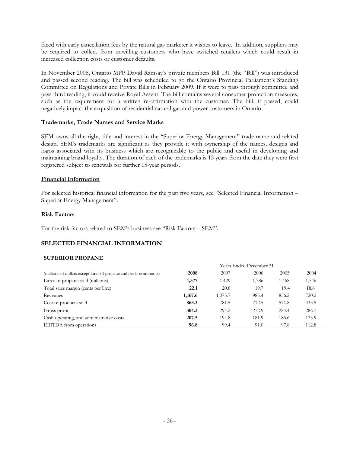faced with early cancellation fees by the natural gas marketer it wishes to leave. In addition, suppliers may be required to collect from unwilling customers who have switched retailers which could result in increased collection costs or customer defaults.

In November 2008, Ontario MPP David Ramsay's private members Bill 131 (the "Bill") was introduced and passed second reading. The bill was scheduled to go the Ontario Provincial Parliament's Standing Committee on Regulations and Private Bills in February 2009. If it were to pass through committee and pass third reading, it could receive Royal Assent. The bill contains several consumer protection measures, such as the requirement for a written re-affirmation with the customer. The bill, if passed, could negatively impact the acquisition of residential natural gas and power customers in Ontario.

#### **Trademarks, Trade Names and Service Marks**

SEM owns all the right, title and interest in the "Superior Energy Management" trade name and related design. SEM's trademarks are significant as they provide it with ownership of the names, designs and logos associated with its business which are recognizable to the public and useful in developing and maintaining brand loyalty. The duration of each of the trademarks is 15 years from the date they were first registered subject to renewals for further 15-year periods.

#### **Financial Information**

For selected historical financial information for the past five years, see "Selected Financial Information – Superior Energy Management".

#### **Risk Factors**

For the risk factors related to SEM's business see "Risk Factors – SEM".

## **SELECTED FINANCIAL INFORMATION**

#### **SUPERIOR PROPANE**

|                                                                      |         |         | Years Ended December 31 |       |       |
|----------------------------------------------------------------------|---------|---------|-------------------------|-------|-------|
| (millions of dollars except litres of propane and per litre amounts) | 2008    | 2007    | 2006                    | 2005  | 2004  |
| Litres of propane sold (millions)                                    | 1,377   | 1,429   | 1,386                   | 1,468 | 1,546 |
| Total sales margin (cents per litre)                                 | 22.1    | 20.6    | 19.7                    | 19.4  | 18.6  |
| Revenues                                                             | 1,167.6 | 1,075.7 | 985.4                   | 856.2 | 720.2 |
| Cost of products sold                                                | 863.3   | 781.5   | 712.5                   | 571.8 | 433.5 |
| Gross profit                                                         | 304.3   | 294.2   | 272.9                   | 284.4 | 286.7 |
| Cash operating, and administrative costs                             | 207.5   | 194.8   | 181.9                   | 186.6 | 173.9 |
| <b>EBITDA</b> from operations                                        | 96.8    | 99.4    | 91.0                    | 97.8  | 112.8 |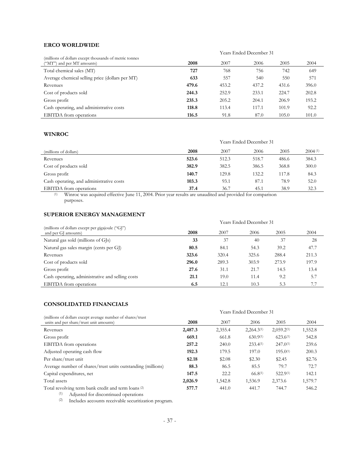#### **ERCO WORLDWIDE**

|                                                                                      |       |       | Years Ended December 31 |       |       |
|--------------------------------------------------------------------------------------|-------|-------|-------------------------|-------|-------|
| (millions of dollars except thousands of metric tonnes<br>("MT") and per MT amounts) | 2008  | 2007  | 2006                    | 2005  | 2004  |
| Total chemical sales (MT)                                                            | 727   | 768   | 756                     | 742   | 649   |
| Average chemical selling price (dollars per MT)                                      | 633   | 557   | 540                     | 550   | 571   |
| Revenues                                                                             | 479.6 | 453.2 | 437.2                   | 431.6 | 396.0 |
| Cost of products sold                                                                | 244.3 | 252.9 | 233.1                   | 224.7 | 202.8 |
| Gross profit                                                                         | 235.3 | 205.2 | 204.1                   | 206.9 | 193.2 |
| Cash operating, and administrative costs                                             | 118.8 | 113.4 | 117.1                   | 101.9 | 92.2  |
| <b>EBITDA</b> from operations                                                        | 116.5 | 91.8  | 87.0                    | 105.0 | 101.0 |

## **WINROC**

|                                          |       |       | <b>Years Ended December 31</b> |       |         |
|------------------------------------------|-------|-------|--------------------------------|-------|---------|
| (millions of dollars)                    | 2008  | 2007  | 2006                           | 2005  | 2004(1) |
| Revenues                                 | 523.6 | 512.3 | 518.7                          | 486.6 | 384.3   |
| Cost of products sold                    | 382.9 | 382.5 | 386.5                          | 368.8 | 300.0   |
| Gross profit                             | 140.7 | 129.8 | 132.2                          | 117.8 | 84.3    |
| Cash operating, and administrative costs | 103.3 | 93.1  | 87.1                           | 78.9  | 52.0    |
| <b>EBITDA</b> from operations            | 37.4  | 36.7  | 45.1                           | 38.9  | 32.3    |

 (1) Winroc was acquired effective June 11, 2004. Prior year results are unaudited and provided for comparison purposes.

## **SUPERIOR ENERGY MANAGEMENT**

|                                                                         |       |       | Years Ended December 31 |       |       |
|-------------------------------------------------------------------------|-------|-------|-------------------------|-------|-------|
| (millions of dollars except per gigajoule ("GJ")<br>and per GJ amounts) | 2008  | 2007  | 2006                    | 2005  | 2004  |
| Natural gas sold (millions of GJs)                                      | 33    | 37    | 40                      | 37    | 28    |
| Natural gas sales margin (cents per GI)                                 | 80.5  | 84.1  | 54.3                    | 39.2  | 47.7  |
| Revenues                                                                | 323.6 | 320.4 | 325.6                   | 288.4 | 211.3 |
| Cost of products sold                                                   | 296.0 | 289.3 | 303.9                   | 273.9 | 197.9 |
| Gross profit                                                            | 27.6  | 31.1  | 21.7                    | 14.5  | 13.4  |
| Cash operating, administrative and selling costs                        | 21.1  | 19.0  | 11.4                    | 9.2   | 5.7   |
| <b>EBITDA</b> from operations                                           | 6.5   | 12.1  | 10.3                    | 5.3   | 7.7   |

#### **CONSOLIDATED FINANCIALS**

|                                                                                                               | <b>Years Ended December 31</b> |         |                 |                        |         |  |
|---------------------------------------------------------------------------------------------------------------|--------------------------------|---------|-----------------|------------------------|---------|--|
| (millions of dollars except average number of shares/trust<br>units and per share/trust unit amounts)         | 2008                           | 2007    | 2006            | 2005                   | 2004    |  |
| Revenues                                                                                                      | 2,487.3                        | 2,355.4 | $2,264.3^{(1)}$ | 2,059.2 <sup>(1)</sup> | 1,552.8 |  |
| Gross profit                                                                                                  | 669.1                          | 661.8   | $630.9^{(1)}$   | $623.6^{(1)}$          | 542.8   |  |
| EBITDA from operations                                                                                        | 257.2                          | 240.0   | $233.4^{(1)}$   | $247.0^{(1)}$          | 239.6   |  |
| Adjusted operating cash flow                                                                                  | 192.3                          | 179.5   | 197.0           | $195.0^{(1)}$          | 200.3   |  |
| Per share/trust unit                                                                                          | \$2.18                         | \$2.08  | \$2.30          | \$2.45                 | \$2.76  |  |
| Average number of shares/trust units outstanding (millions)                                                   | 88.3                           | 86.5    | 85.5            | 79.7                   | 72.7    |  |
| Capital expenditures, net                                                                                     | 147.5                          | 22.2    | 66,8(1)         | $522.9^{(1)}$          | 142.1   |  |
| Total assets                                                                                                  | 2,026.9                        | 1,542.8 | 1,536.9         | 2,373.6                | 1,579.7 |  |
| Total revolving term bank credit and term loans <sup>(2)</sup><br>(1)<br>Adjusted for discontinued operations | 577.7                          | 441.0   | 441.7           | 744.7                  | 546.2   |  |

(2) Includes accounts receivable securitization program.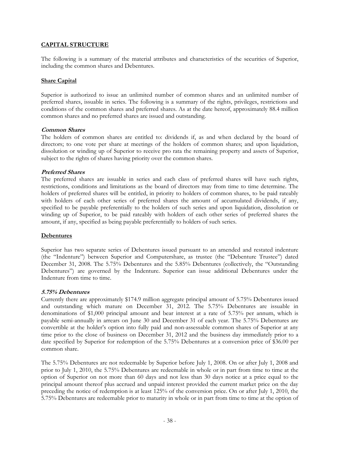## **CAPITAL STRUCTURE**

The following is a summary of the material attributes and characteristics of the securities of Superior, including the common shares and Debentures.

## **Share Capital**

Superior is authorized to issue an unlimited number of common shares and an unlimited number of preferred shares, issuable in series. The following is a summary of the rights, privileges, restrictions and conditions of the common shares and preferred shares. As at the date hereof, approximately 88.4 million common shares and no preferred shares are issued and outstanding.

#### **Common Shares**

The holders of common shares are entitled to: dividends if, as and when declared by the board of directors; to one vote per share at meetings of the holders of common shares; and upon liquidation, dissolution or winding up of Superior to receive pro rata the remaining property and assets of Superior, subject to the rights of shares having priority over the common shares.

#### **Preferred Shares**

The preferred shares are issuable in series and each class of preferred shares will have such rights, restrictions, conditions and limitations as the board of directors may from time to time determine. The holders of preferred shares will be entitled, in priority to holders of common shares, to be paid rateably with holders of each other series of preferred shares the amount of accumulated dividends, if any, specified to be payable preferentially to the holders of such series and upon liquidation, dissolution or winding up of Superior, to be paid rateably with holders of each other series of preferred shares the amount, if any, specified as being payable preferentially to holders of such series.

## **Debentures**

Superior has two separate series of Debentures issued pursuant to an amended and restated indenture (the "Indenture") between Superior and Computershare, as trustee (the "Debenture Trustee") dated December 31, 2008. The 5.75% Debentures and the 5.85% Debentures (collectively, the "Outstanding Debentures") are governed by the Indenture. Superior can issue additional Debentures under the Indenture from time to time.

#### **5.75% Debentures**

Currently there are approximately \$174.9 million aggregate principal amount of 5.75% Debentures issued and outstanding which mature on December 31, 2012. The 5.75% Debentures are issuable in denominations of \$1,000 principal amount and bear interest at a rate of 5.75% per annum, which is payable semi-annually in arrears on June 30 and December 31 of each year. The 5.75% Debentures are convertible at the holder's option into fully paid and non-assessable common shares of Superior at any time prior to the close of business on December 31, 2012 and the business day immediately prior to a date specified by Superior for redemption of the 5.75% Debentures at a conversion price of \$36.00 per common share.

The 5.75% Debentures are not redeemable by Superior before July 1, 2008. On or after July 1, 2008 and prior to July 1, 2010, the 5.75% Debentures are redeemable in whole or in part from time to time at the option of Superior on not more than 60 days and not less than 30 days notice at a price equal to the principal amount thereof plus accrued and unpaid interest provided the current market price on the day preceding the notice of redemption is at least 125% of the conversion price. On or after July 1, 2010, the 5.75% Debentures are redeemable prior to maturity in whole or in part from time to time at the option of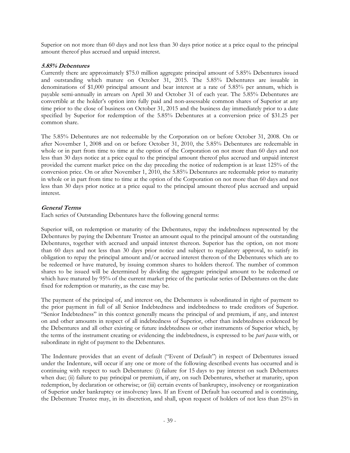Superior on not more than 60 days and not less than 30 days prior notice at a price equal to the principal amount thereof plus accrued and unpaid interest.

## **5.85% Debentures**

Currently there are approximately \$75.0 million aggregate principal amount of 5.85% Debentures issued and outstanding which mature on October 31, 2015. The 5.85% Debentures are issuable in denominations of \$1,000 principal amount and bear interest at a rate of 5.85% per annum, which is payable semi-annually in arrears on April 30 and October 31 of each year. The 5.85% Debentures are convertible at the holder's option into fully paid and non-assessable common shares of Superior at any time prior to the close of business on October 31, 2015 and the business day immediately prior to a date specified by Superior for redemption of the 5.85% Debentures at a conversion price of \$31.25 per common share.

The 5.85% Debentures are not redeemable by the Corporation on or before October 31, 2008. On or after November 1, 2008 and on or before October 31, 2010, the 5.85% Debentures are redeemable in whole or in part from time to time at the option of the Corporation on not more than 60 days and not less than 30 days notice at a price equal to the principal amount thereof plus accrued and unpaid interest provided the current market price on the day preceding the notice of redemption is at least 125% of the conversion price. On or after November 1, 2010, the 5.85% Debentures are redeemable prior to maturity in whole or in part from time to time at the option of the Corporation on not more than 60 days and not less than 30 days prior notice at a price equal to the principal amount thereof plus accrued and unpaid interest.

## **General Terms**

Each series of Outstanding Debentures have the following general terms:

Superior will, on redemption or maturity of the Debentures, repay the indebtedness represented by the Debentures by paying the Debenture Trustee an amount equal to the principal amount of the outstanding Debentures, together with accrued and unpaid interest thereon. Superior has the option, on not more than 60 days and not less than 30 days prior notice and subject to regulatory approval, to satisfy its obligation to repay the principal amount and/or accrued interest thereon of the Debentures which are to be redeemed or have matured, by issuing common shares to holders thereof. The number of common shares to be issued will be determined by dividing the aggregate principal amount to be redeemed or which have matured by 95% of the current market price of the particular series of Debentures on the date fixed for redemption or maturity, as the case may be.

The payment of the principal of, and interest on, the Debentures is subordinated in right of payment to the prior payment in full of all Senior Indebtedness and indebtedness to trade creditors of Superior. "Senior Indebtedness" in this context generally means the principal of and premium, if any, and interest on and other amounts in respect of all indebtedness of Superior, other than indebtedness evidenced by the Debentures and all other existing or future indebtedness or other instruments of Superior which, by the terms of the instrument creating or evidencing the indebtedness, is expressed to be *pari passu* with, or subordinate in right of payment to the Debentures.

The Indenture provides that an event of default ("Event of Default") in respect of Debentures issued under the Indenture, will occur if any one or more of the following described events has occurred and is continuing with respect to such Debentures: (i) failure for 15 days to pay interest on such Debentures when due; (ii) failure to pay principal or premium, if any, on such Debentures, whether at maturity, upon redemption, by declaration or otherwise; or (iii) certain events of bankruptcy, insolvency or reorganization of Superior under bankruptcy or insolvency laws. If an Event of Default has occurred and is continuing, the Debenture Trustee may, in its discretion, and shall, upon request of holders of not less than 25% in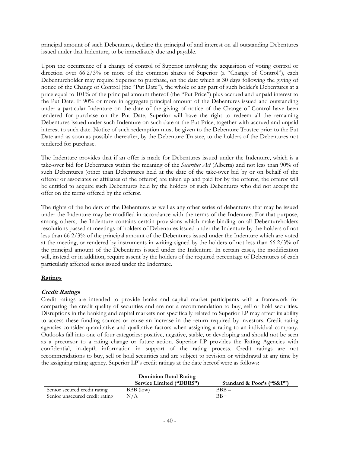principal amount of such Debentures, declare the principal of and interest on all outstanding Debentures issued under that Indenture, to be immediately due and payable.

Upon the occurrence of a change of control of Superior involving the acquisition of voting control or direction over 66 2/3% or more of the common shares of Superior (a "Change of Control"), each Debentureholder may require Superior to purchase, on the date which is 30 days following the giving of notice of the Change of Control (the "Put Date"), the whole or any part of such holder's Debentures at a price equal to 101% of the principal amount thereof (the "Put Price") plus accrued and unpaid interest to the Put Date. If 90% or more in aggregate principal amount of the Debentures issued and outstanding under a particular Indenture on the date of the giving of notice of the Change of Control have been tendered for purchase on the Put Date, Superior will have the right to redeem all the remaining Debentures issued under such Indenture on such date at the Put Price, together with accrued and unpaid interest to such date. Notice of such redemption must be given to the Debenture Trustee prior to the Put Date and as soon as possible thereafter, by the Debenture Trustee, to the holders of the Debentures not tendered for purchase.

The Indenture provides that if an offer is made for Debentures issued under the Indenture, which is a take-over bid for Debentures within the meaning of the *Securities Act* (Alberta) and not less than 90% of such Debentures (other than Debentures held at the date of the take-over bid by or on behalf of the offeror or associates or affiliates of the offeror) are taken up and paid for by the offeror, the offeror will be entitled to acquire such Debentures held by the holders of such Debentures who did not accept the offer on the terms offered by the offeror.

The rights of the holders of the Debentures as well as any other series of debentures that may be issued under the Indenture may be modified in accordance with the terms of the Indenture. For that purpose, among others, the Indenture contains certain provisions which make binding on all Debentureholders resolutions passed at meetings of holders of Debentures issued under the Indenture by the holders of not less than 66 2/3% of the principal amount of the Debentures issued under the Indenture which are voted at the meeting, or rendered by instruments in writing signed by the holders of not less than 66 2/3% of the principal amount of the Debentures issued under the Indenture. In certain cases, the modification will, instead or in addition, require assent by the holders of the required percentage of Debentures of each particularly affected series issued under the Indenture.

## **Ratings**

## **Credit Ratings**

Credit ratings are intended to provide banks and capital market participants with a framework for comparing the credit quality of securities and are not a recommendation to buy, sell or hold securities. Disruptions in the banking and capital markets not specifically related to Superior LP may affect its ability to access these funding sources or cause an increase in the return required by investors. Credit rating agencies consider quantitative and qualitative factors when assigning a rating to an individual company. Outlooks fall into one of four categories: positive, negative, stable, or developing and should not be seen as a precursor to a rating change or future action. Superior LP provides the Rating Agencies with confidential, in-depth information in support of the rating process. Credit ratings are not recommendations to buy, sell or hold securities and are subject to revision or withdrawal at any time by the assigning rating agency. Superior LP's credit ratings at the date hereof were as follows:

| Dominion Bond Rating           |                          |                           |  |  |  |
|--------------------------------|--------------------------|---------------------------|--|--|--|
|                                | Service Limited ("DBRS") | Standard & Poor's ("S&P") |  |  |  |
| Senior secured credit rating   | BBB (low)                | $BBB -$                   |  |  |  |
| Senior unsecured credit rating | N/A                      | $BR+$                     |  |  |  |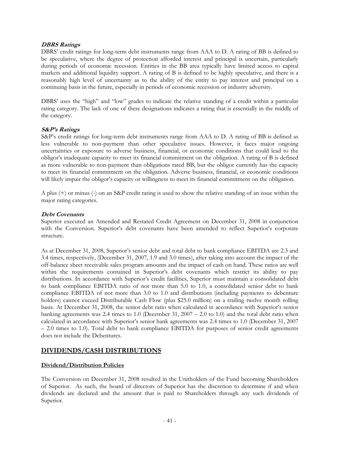## **DBRS Ratings**

DBRS' credit ratings for long-term debt instruments range from AAA to D. A rating of BB is defined to be speculative, where the degree of protection afforded interest and principal is uncertain, particularly during periods of economic recession. Entities in the BB area typically have limited access to capital markets and additional liquidity support. A rating of B is defined to be highly speculative, and there is a reasonably high level of uncertainty as to the ability of the entity to pay interest and principal on a continuing basis in the future, especially in periods of economic recession or industry adversity.

DBRS' uses the "high" and "low" grades to indicate the relative standing of a credit within a particular rating category. The lack of one of these designations indicates a rating that is essentially in the middle of the category.

## **S&P's Ratings**

S&P's credit ratings for long-term debt instruments range from AAA to D. A rating of BB is defined as less vulnerable to non-payment than other speculative issues. However, it faces major ongoing uncertainties or exposure to adverse business, financial, or economic conditions that could lead to the obligor's inadequate capacity to meet its financial commitment on the obligation. A rating of B is defined as more vulnerable to non-payment than obligations rated BB, but the obligor currently has the capacity to meet its financial commitment on the obligation. Adverse business, financial, or economic conditions will likely impair the obligor's capacity or willingness to meet its financial commitment on the obligation.

A plus (+) or minus (-) on an S&P credit rating is used to show the relative standing of an issue within the major rating categories.

#### **Debt Covenants**

Superior executed an Amended and Restated Credit Agreement on December 31, 2008 in conjunction with the Conversion. Superior's debt covenants have been amended to reflect Superior's corporate structure.

As at December 31, 2008, Superior's senior debt and total debt to bank compliance EBITDA are 2.3 and 3.4 times, respectively, (December 31, 2007, 1.9 and 3.0 times), after taking into account the impact of the off-balance sheet receivable sales program amounts and the impact of cash on hand. These ratios are well within the requirements contained in Superior's debt covenants which restrict its ability to pay distributions. In accordance with Superior's credit facilities, Superior must maintain a consolidated debt to bank compliance EBITDA ratio of not more than 5.0 to 1.0, a consolidated senior debt to bank compliance EBITDA of not more than 3.0 to 1.0 and distributions (including payments to debenture holders) cannot exceed Distributable Cash Flow (plus \$25.0 million) on a trailing twelve month rolling basis. At December 31, 2008, the senior debt ratio when calculated in accordance with Superior's senior banking agreements was 2.4 times to 1.0 (December 31, 2007 – 2.0 to 1.0) and the total debt ratio when calculated in accordance with Superior's senior bank agreements was 2.4 times to 1.0 (December 31, 2007 – 2.0 times to 1.0). Total debt to bank compliance EBITDA for purposes of senior credit agreements does not include the Debentures.

## **DIVIDENDS/CASH DISTRIBUTIONS**

## **Dividend/Distribution Policies**

The Conversion on December 31, 2008 resulted in the Unitholders of the Fund becoming Shareholders of Superior. As such, the board of directors of Superior has the discretion to determine if and when dividends are declared and the amount that is paid to Shareholders through any such dividends of Superior.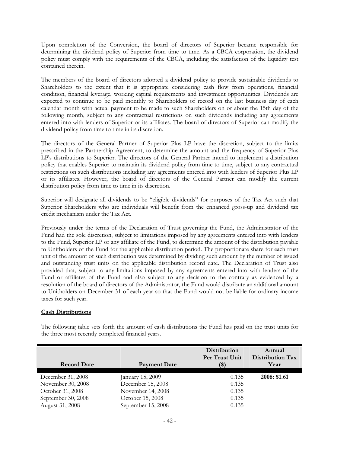Upon completion of the Conversion, the board of directors of Superior became responsible for determining the dividend policy of Superior from time to time. As a CBCA corporation, the dividend policy must comply with the requirements of the CBCA, including the satisfaction of the liquidity test contained therein.

The members of the board of directors adopted a dividend policy to provide sustainable dividends to Shareholders to the extent that it is appropriate considering cash flow from operations, financial condition, financial leverage, working capital requirements and investment opportunities. Dividends are expected to continue to be paid monthly to Shareholders of record on the last business day of each calendar month with actual payment to be made to such Shareholders on or about the 15th day of the following month, subject to any contractual restrictions on such dividends including any agreements entered into with lenders of Superior or its affiliates. The board of directors of Superior can modify the dividend policy from time to time in its discretion.

The directors of the General Partner of Superior Plus LP have the discretion, subject to the limits prescribed in the Partnership Agreement, to determine the amount and the frequency of Superior Plus LP's distributions to Superior. The directors of the General Partner intend to implement a distribution policy that enables Superior to maintain its dividend policy from time to time, subject to any contractual restrictions on such distributions including any agreements entered into with lenders of Superior Plus LP or its affiliates. However, the board of directors of the General Partner can modify the current distribution policy from time to time in its discretion.

Superior will designate all dividends to be "eligible dividends" for purposes of the Tax Act such that Superior Shareholders who are individuals will benefit from the enhanced gross-up and dividend tax credit mechanism under the Tax Act.

Previously under the terms of the Declaration of Trust governing the Fund, the Administrator of the Fund had the sole discretion, subject to limitations imposed by any agreements entered into with lenders to the Fund, Superior LP or any affiliate of the Fund, to determine the amount of the distribution payable to Unitholders of the Fund for the applicable distribution period. The proportionate share for each trust unit of the amount of such distribution was determined by dividing such amount by the number of issued and outstanding trust units on the applicable distribution record date. The Declaration of Trust also provided that, subject to any limitations imposed by any agreements entered into with lenders of the Fund or affiliates of the Fund and also subject to any decision to the contrary as evidenced by a resolution of the board of directors of the Administrator, the Fund would distribute an additional amount to Unitholders on December 31 of each year so that the Fund would not be liable for ordinary income taxes for such year.

#### **Cash Distributions**

| <b>Record Date</b> | Payment Date       | Distribution<br>Per Trust Unit<br>(\$) | Annual<br>Distribution Tax<br>Year |
|--------------------|--------------------|----------------------------------------|------------------------------------|
| December 31, 2008  | January 15, 2009   | 0.135                                  | 2008: \$1.61                       |
| November 30, 2008  | December 15, 2008  | 0.135                                  |                                    |
| October 31, 2008   | November 14, 2008  | 0.135                                  |                                    |
| September 30, 2008 | October 15, 2008   | 0.135                                  |                                    |
| August 31, 2008    | September 15, 2008 | 0.135                                  |                                    |

The following table sets forth the amount of cash distributions the Fund has paid on the trust units for the three most recently completed financial years.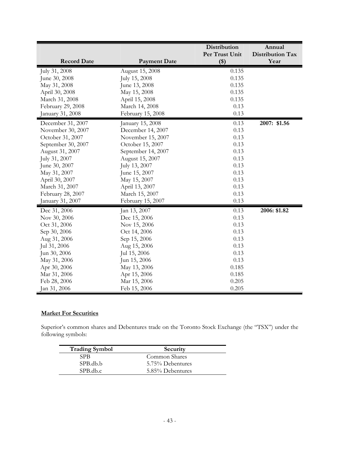|                                  |                                | Distribution            | Annual                   |
|----------------------------------|--------------------------------|-------------------------|--------------------------|
| <b>Record Date</b>               | <b>Payment Date</b>            | Per Trust Unit<br>$($)$ | Distribution Tax<br>Year |
|                                  |                                |                         |                          |
| July 31, 2008<br>June 30, 2008   | August 15, 2008                | 0.135<br>0.135          |                          |
|                                  | July 15, 2008                  | 0.135                   |                          |
| May 31, 2008                     | June 13, 2008                  | 0.135                   |                          |
| April 30, 2008<br>March 31, 2008 | May 15, 2008<br>April 15, 2008 | 0.135                   |                          |
|                                  |                                | 0.13                    |                          |
| February 29, 2008                | March 14, 2008                 |                         |                          |
| January 31, 2008                 | February 15, 2008              | 0.13                    |                          |
| December 31, 2007                | January 15, 2008               | 0.13                    | 2007: \$1.56             |
| November 30, 2007                | December 14, 2007              | 0.13                    |                          |
| October 31, 2007                 | November 15, 2007              | 0.13                    |                          |
| September 30, 2007               | October 15, 2007               | 0.13                    |                          |
| August 31, 2007                  | September 14, 2007             | 0.13                    |                          |
| July 31, 2007                    | August 15, 2007                | 0.13                    |                          |
| June 30, 2007                    | July 13, 2007                  | 0.13                    |                          |
| May 31, 2007                     | June 15, 2007                  | 0.13                    |                          |
| April 30, 2007                   | May 15, 2007                   | 0.13                    |                          |
| March 31, 2007                   | April 13, 2007                 | 0.13                    |                          |
| February 28, 2007                | March 15, 2007                 | 0.13                    |                          |
| January 31, 2007                 | February 15, 2007              | 0.13                    |                          |
| Dec 31, 2006                     | Jan 13, 2007                   | 0.13                    | 2006: \$1.82             |
| Nov 30, 2006                     | Dec 15, 2006                   | 0.13                    |                          |
| Oct 31, 2006                     | Nov 15, 2006                   | 0.13                    |                          |
| Sep 30, 2006                     | Oct 14, 2006                   | 0.13                    |                          |
| Aug 31, 2006                     | Sep 15, 2006                   | 0.13                    |                          |
| Jul 31, 2006                     | Aug 15, 2006                   | 0.13                    |                          |
| Jun 30, 2006                     | Jul 15, 2006                   | 0.13                    |                          |
| May 31, 2006                     | Jun 15, 2006                   | 0.13                    |                          |
| Apr 30, 2006                     | May 13, 2006                   | 0.185                   |                          |
| Mar 31, 2006                     | Apr 15, 2006                   | 0.185                   |                          |
| Feb 28, 2006                     | Mar 15, 2006                   | 0.205                   |                          |
| Jan 31, 2006                     | Feb 15, 2006                   | 0.205                   |                          |

## **Market For Securities**

Superior's common shares and Debentures trade on the Toronto Stock Exchange (the "TSX") under the following symbols:

| <b>Trading Symbol</b> | Security         |
|-----------------------|------------------|
| <b>SPB</b>            | Common Shares    |
| SPB.db.b              | 5.75% Debentures |
| SPB.db.c              | 5.85% Debentures |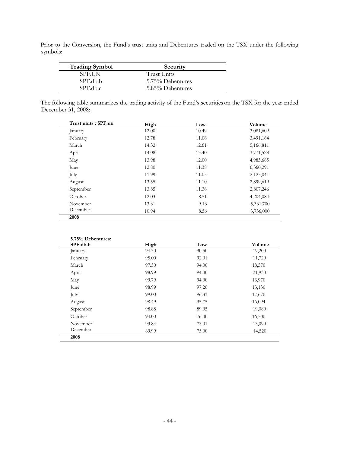Prior to the Conversion, the Fund's trust units and Debentures traded on the TSX under the following symbols:

| <b>Trading Symbol</b> | Security         |
|-----------------------|------------------|
| <b>SPEIIN</b>         | Trust Units      |
| SPF.db.b              | 5.75% Debentures |
| SPE.db.c              | 5.85% Debentures |

The following table summarizes the trading activity of the Fund's securities on the TSX for the year ended December 31, 2008:

| Trust units: SPF.un | High  | Low   | Volume    |
|---------------------|-------|-------|-----------|
| January             | 12.00 | 10.49 | 3,081,609 |
| February            | 12.78 | 11.06 | 3,491,164 |
| March               | 14.32 | 12.61 | 5,166,811 |
| April               | 14.08 | 13.40 | 3,771,528 |
| May                 | 13.98 | 12.00 | 4,983,685 |
| June                | 12.80 | 11.38 | 6,360,291 |
| July                | 11.99 | 11.05 | 2,123,041 |
| August              | 13.55 | 11.10 | 2,899,619 |
| September           | 13.85 | 11.36 | 2,807,246 |
| October             | 12.03 | 8.51  | 4,204,084 |
| November            | 13.31 | 9.13  | 5,331,700 |
| December            | 10.94 | 8.56  | 3,736,000 |

| 5.75% Debentures:<br>SPF.db.b | High  | Low   | Volume |
|-------------------------------|-------|-------|--------|
| January                       | 94.30 | 90.50 | 19,200 |
| February                      | 95.00 | 92.01 | 11,720 |
| March                         | 97.50 | 94.00 | 18,570 |
| April                         | 98.99 | 94.00 | 21,930 |
| May                           | 99.79 | 94.00 | 13,970 |
| June                          | 98.99 | 97.26 | 13,130 |
| July                          | 99.00 | 96.31 | 17,670 |
| August                        | 98.49 | 95.75 | 16,094 |
| September                     | 98.88 | 89.05 | 19,080 |
| October                       | 94.00 | 76.00 | 16,500 |
| November                      | 93.84 | 73.01 | 13,090 |
| December                      | 89.99 | 75.00 | 14,520 |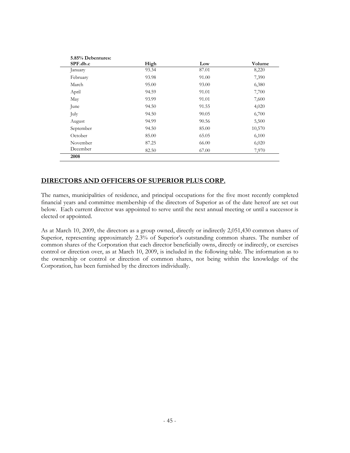| SPF.db.c  | High  | Low   | Volume |
|-----------|-------|-------|--------|
| January   | 93.34 | 87.01 | 8,220  |
| February  | 93.98 | 91.00 | 7,390  |
| March     | 95.00 | 93.00 | 6,380  |
| April     | 94.59 | 91.01 | 7,700  |
| May       | 93.99 | 91.01 | 7,600  |
| June      | 94.50 | 91.55 | 4,020  |
| July      | 94.50 | 90.05 | 6,700  |
| August    | 94.99 | 90.56 | 5,500  |
| September | 94.50 | 85.00 | 10,570 |
| October   | 85.00 | 65.05 | 6,100  |
| November  | 87.25 | 66.00 | 6,020  |
| December  | 82.50 | 67.00 | 7,970  |

## **DIRECTORS AND OFFICERS OF SUPERIOR PLUS CORP.**

The names, municipalities of residence, and principal occupations for the five most recently completed financial years and committee membership of the directors of Superior as of the date hereof are set out below. Each current director was appointed to serve until the next annual meeting or until a successor is elected or appointed.

As at March 10, 2009, the directors as a group owned, directly or indirectly 2,051,430 common shares of Superior, representing approximately 2.3% of Superior's outstanding common shares. The number of common shares of the Corporation that each director beneficially owns, directly or indirectly, or exercises control or direction over, as at March 10, 2009, is included in the following table. The information as to the ownership or control or direction of common shares, not being within the knowledge of the Corporation, has been furnished by the directors individually.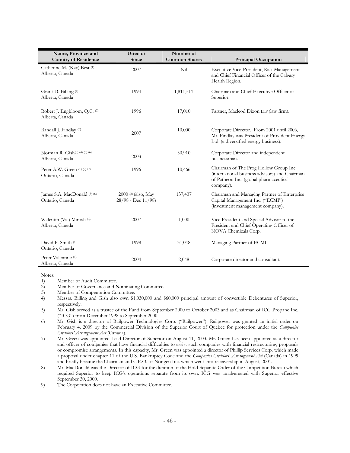| Name, Province and<br><b>Country of Residence</b> | <b>Director</b><br>Since                       | Number of<br><b>Common Shares</b> | <b>Principal Occupation</b>                                                                                                                     |
|---------------------------------------------------|------------------------------------------------|-----------------------------------|-------------------------------------------------------------------------------------------------------------------------------------------------|
| Catherine M. (Kay) Best (1)<br>Alberta, Canada    | 2007                                           | Nil                               | Executive Vice-President, Risk Management<br>and Chief Financial Officer of the Calgary<br>Health Region.                                       |
| Grant D. Billing (4)<br>Alberta, Canada           | 1994                                           | 1,811,511                         | Chairman and Chief Executive Officer of<br>Superior.                                                                                            |
| Robert J. Engbloom, Q.C. (2)<br>Alberta, Canada   | 1996                                           | 17,010                            | Partner, Macleod Dixon LLP (law firm).                                                                                                          |
| Randall J. Findlay (2)<br>Alberta, Canada         | 2007                                           | 10,000                            | Corporate Director. From 2001 until 2006,<br>Mr. Findlay was President of Provident Energy<br>Ltd. (a diversified energy business).             |
| Norman R. Gish(3) (4) (5) (6)<br>Alberta, Canada  | 2003                                           | 30,910                            | Corporate Director and independent<br>businessman.                                                                                              |
| Peter A.W. Green (1) (2) (7)<br>Ontario, Canada   | 1996                                           | 10,466                            | Chairman of The Frog Hollow Group Inc.<br>(international business advisors) and Chairman<br>of Patheon Inc. (global pharmaceutical<br>company). |
| James S.A. MacDonald (3) (8)<br>Ontario, Canada   | 2000 (8) (also, May<br>$28/98$ - Dec $11/98$ ) | 137,437                           | Chairman and Managing Partner of Enterprise<br>Capital Management Inc. ("ECMI")<br>(investment management company).                             |
| Walentin (Val) Mirosh (3)<br>Alberta, Canada      | 2007                                           | 1,000                             | Vice President and Special Advisor to the<br>President and Chief Operating Officer of<br>NOVA Chemicals Corp.                                   |
| David P. Smith (1)<br>Ontario, Canada             | 1998                                           | 31,048                            | Managing Partner of ECMI.                                                                                                                       |
| Peter Valentine <sup>(1)</sup><br>Alberta, Canada | 2004                                           | 2,048                             | Corporate director and consultant.                                                                                                              |

Notes:

1) Member of Audit Committee.

2) Member of Governance and Nominating Committee.

3) Member of Compensation Committee.<br>4) Messrs. Billing and Gish also own \$1

4) Messrs. Billing and Gish also own \$1,030,000 and \$60,000 principal amount of convertible Debentures of Superior, respectively.

5) Mr. Gish served as a trustee of the Fund from September 2000 to October 2003 and as Chairman of ICG Propane Inc. ("ICG") from December 1998 to September 2000.

6) Mr. Gish is a director of Railpower Technologies Corp. ("Railpower"). Railpower was granted an initial order on February 4, 2009 by the Commercial Division of the Superior Court of Quebec for protection under the *Companies Creditors' Arrangement Act* (Canada).

7) Mr. Green was appointed Lead Director of Superior on August 11, 2003. Mr. Green has been appointed as a director and officer of companies that have financial difficulties to assist such companies with financial restructuring, proposals or compromise arrangements. In this capacity, Mr. Green was appointed a director of Phillip Services Corp. which made a proposal under chapter 11 of the U.S. Bankruptcy Code and the *Companies Creditors' Arrangement Act* (Canada) in 1999 and briefly became the Chairman and C.E.O. of Norigen Inc. which went into receivership in August, 2001.

8) Mr. MacDonald was the Director of ICG for the duration of the Hold-Separate Order of the Competition Bureau which required Superior to keep ICG's operations separate from its own. ICG was amalgamated with Superior effective September 30, 2000.

9) The Corporation does not have an Executive Committee.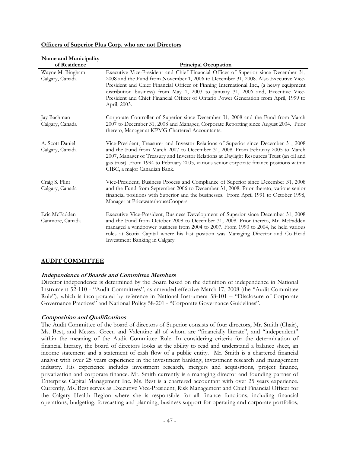#### **Officers of Superior Plus Corp. who are not Directors**

| Name and Municipality               |                                                                                                                                                                                                                                                                                                                                                                                                                                                                   |  |  |
|-------------------------------------|-------------------------------------------------------------------------------------------------------------------------------------------------------------------------------------------------------------------------------------------------------------------------------------------------------------------------------------------------------------------------------------------------------------------------------------------------------------------|--|--|
| of Residence                        | <b>Principal Occupation</b>                                                                                                                                                                                                                                                                                                                                                                                                                                       |  |  |
| Wayne M. Bingham<br>Calgary, Canada | Executive Vice-President and Chief Financial Officer of Superior since December 31,<br>2008 and the Fund from November 1, 2006 to December 31, 2008. Also Executive Vice-<br>President and Chief Financial Officer of Finning International Inc., (a heavy equipment<br>distribution business) from May 1, 2003 to January 31, 2006 and, Executive Vice-<br>President and Chief Financial Officer of Ontario Power Generation from April, 1999 to<br>April, 2003. |  |  |
| Jay Bachman<br>Calgary, Canada      | Corporate Controller of Superior since December 31, 2008 and the Fund from March<br>2007 to December 31, 2008 and Manager, Corporate Reporting since August 2004. Prior<br>thereto, Manager at KPMG Chartered Accountants.                                                                                                                                                                                                                                        |  |  |
| A. Scott Daniel<br>Calgary, Canada  | Vice-President, Treasurer and Investor Relations of Superior since December 31, 2008<br>and the Fund from March 2007 to December 31, 2008. From February 2005 to March<br>2007, Manager of Treasury and Investor Relations at Daylight Resources Trust (an oil and<br>gas trust). From 1994 to February 2005, various senior corporate finance positions within<br>CIBC, a major Canadian Bank.                                                                   |  |  |
| Craig S. Flint<br>Calgary, Canada   | Vice-President, Business Process and Compliance of Superior since December 31, 2008<br>and the Fund from September 2006 to December 31, 2008. Prior thereto, various senior<br>financial positions with Superior and the businesses. From April 1991 to October 1998,<br>Manager at PricewaterhouseCoopers.                                                                                                                                                       |  |  |
| Eric McFadden<br>Canmore, Canada    | Executive Vice-President, Business Development of Superior since December 31, 2008<br>and the Fund from October 2008 to December 31, 2008. Prior thereto, Mr. McFadden<br>managed a windpower business from 2004 to 2007. From 1990 to 2004, he held various<br>roles at Scotia Capital where his last position was Managing Director and Co-Head<br>Investment Banking in Calgary.                                                                               |  |  |

## **AUDIT COMMITTEE**

## **Independence of Boards and Committee Members**

Director independence is determined by the Board based on the definition of independence in National Instrument 52-110 - "Audit Committees", as amended effective March 17, 2008 (the "Audit Committee Rule"), which is incorporated by reference in National Instrument 58-101 – "Disclosure of Corporate Governance Practices" and National Policy 58-201 - "Corporate Governance Guidelines".

## **Composition and Qualifications**

The Audit Committee of the board of directors of Superior consists of four directors, Mr. Smith (Chair), Ms. Best, and Messrs. Green and Valentine all of whom are "financially literate", and "independent" within the meaning of the Audit Committee Rule. In considering criteria for the determination of financial literacy, the board of directors looks at the ability to read and understand a balance sheet, an income statement and a statement of cash flow of a public entity. Mr. Smith is a chartered financial analyst with over 25 years experience in the investment banking, investment research and management industry. His experience includes investment research, mergers and acquisitions, project finance, privatization and corporate finance. Mr. Smith currently is a managing director and founding partner of Enterprise Capital Management Inc. Ms. Best is a chartered accountant with over 25 years experience. Currently, Ms. Best serves as Executive Vice-President, Risk Management and Chief Financial Officer for the Calgary Health Region where she is responsible for all finance functions, including financial operations, budgeting, forecasting and planning, business support for operating and corporate portfolios,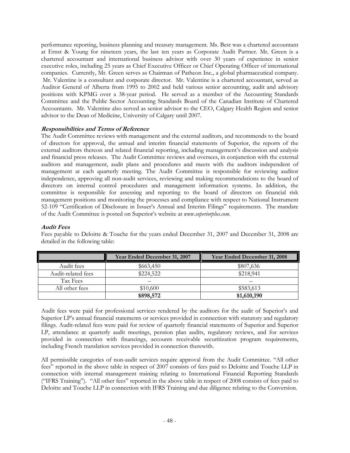performance reporting, business planning and treasury management. Ms. Best was a chartered accountant at Ernst & Young for nineteen years, the last ten years as Corporate Audit Partner. Mr. Green is a chartered accountant and international business advisor with over 30 years of experience in senior executive roles, including 25 years as Chief Executive Officer or Chief Operating Officer of international companies. Currently, Mr. Green serves as Chairman of Patheon Inc., a global pharmaceutical company. Mr. Valentine is a consultant and corporate director. Mr. Valentine is a chartered accountant, served as Auditor General of Alberta from 1995 to 2002 and held various senior accounting, audit and advisory positions with KPMG over a 38-year period. He served as a member of the Accounting Standards Committee and the Public Sector Accounting Standards Board of the Canadian Institute of Chartered Accountants. Mr. Valentine also served as senior advisor to the CEO, Calgary Health Region and senior advisor to the Dean of Medicine, University of Calgary until 2007.

## **Responsibilities and Terms of Reference**

The Audit Committee reviews with management and the external auditors, and recommends to the board of directors for approval, the annual and interim financial statements of Superior, the reports of the external auditors thereon and related financial reporting, including management's discussion and analysis and financial press releases. The Audit Committee reviews and oversees, in conjunction with the external auditors and management, audit plans and procedures and meets with the auditors independent of management at each quarterly meeting. The Audit Committee is responsible for reviewing auditor independence, approving all non-audit services, reviewing and making recommendations to the board of directors on internal control procedures and management information systems. In addition, the committee is responsible for assessing and reporting to the board of directors on financial risk management positions and monitoring the processes and compliance with respect to National Instrument 52-109 "Certification of Disclosure in Issuer's Annual and Interim Filings" requirements. The mandate of the Audit Committee is posted on Superior's website at *www.superiorplus.com*.

#### **Audit Fees**

Fees payable to Deloitte & Touche for the years ended December 31, 2007 and December 31, 2008 are detailed in the following table:

|                    | Year Ended December 31, 2007 | Year Ended December 31, 2008 |
|--------------------|------------------------------|------------------------------|
| Audit fees         | \$663,450                    | \$807,636                    |
| Audit-related fees | \$224,522                    | \$218,941                    |
| Tax Fees           |                              |                              |
| All other fees     | \$10,600                     | \$583,613                    |
|                    | \$898,572                    | \$1,610,190                  |

Audit fees were paid for professional services rendered by the auditors for the audit of Superior's and Superior LP's annual financial statements or services provided in connection with statutory and regulatory filings. Audit-related fees were paid for review of quarterly financial statements of Superior and Superior LP, attendance at quarterly audit meetings, pension plan audits, regulatory reviews, and for services provided in connection with financings, accounts receivable securitization program requirements, including French translation services provided in connection therewith.

All permissible categories of non-audit services require approval from the Audit Committee. "All other fees" reported in the above table in respect of 2007 consists of fees paid to Deloitte and Touche LLP in connection with internal management training relating to International Financial Reporting Standards ("IFRS Training"). "All other fees" reported in the above table in respect of 2008 consists of fees paid to Deloitte and Touche LLP in connection with IFRS Training and due diligence relating to the Conversion.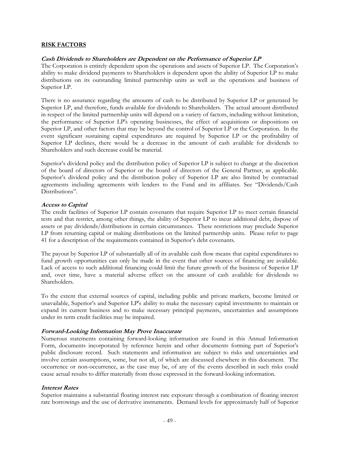#### **RISK FACTORS**

#### **Cash Dividends to Shareholders are Dependent on the Performance of Superior LP**

The Corporation is entirely dependent upon the operations and assets of Superior LP. The Corporation's ability to make dividend payments to Shareholders is dependent upon the ability of Superior LP to make distributions on its outstanding limited partnership units as well as the operations and business of Superior LP.

There is no assurance regarding the amounts of cash to be distributed by Superior LP or generated by Superior LP, and therefore, funds available for dividends to Shareholders. The actual amount distributed in respect of the limited partnership units will depend on a variety of factors, including without limitation, the performance of Superior LP's operating businesses, the effect of acquisitions or dispositions on Superior LP, and other factors that may be beyond the control of Superior LP or the Corporation. In the event significant sustaining capital expenditures are required by Superior LP or the profitability of Superior LP declines, there would be a decrease in the amount of cash available for dividends to Shareholders and such decrease could be material.

Superior's dividend policy and the distribution policy of Superior LP is subject to change at the discretion of the board of directors of Superior or the board of directors of the General Partner, as applicable. Superior's dividend policy and the distribution policy of Superior LP are also limited by contractual agreements including agreements with lenders to the Fund and its affiliates. See "Dividends/Cash Distributions".

#### **Access to Capital**

The credit facilities of Superior LP contain covenants that require Superior LP to meet certain financial tests and that restrict, among other things, the ability of Superior LP to incur additional debt, dispose of assets or pay dividends/distributions in certain circumstances. These restrictions may preclude Superior LP from returning capital or making distributions on the limited partnership units. Please refer to page 41 for a description of the requirements contained in Superior's debt covenants.

The payout by Superior LP of substantially all of its available cash flow means that capital expenditures to fund growth opportunities can only be made in the event that other sources of financing are available. Lack of access to such additional financing could limit the future growth of the business of Superior LP and, over time, have a material adverse effect on the amount of cash available for dividends to Shareholders.

To the extent that external sources of capital, including public and private markets, become limited or unavailable, Superior's and Superior LP's ability to make the necessary capital investments to maintain or expand its current business and to make necessary principal payments, uncertainties and assumptions under its term credit facilities may be impaired.

#### **Forward-Looking Information May Prove Inaccurate**

Numerous statements containing forward-looking information are found in this Annual Information Form, documents incorporated by reference herein and other documents forming part of Superior's public disclosure record. Such statements and information are subject to risks and uncertainties and involve certain assumptions, some, but not all, of which are discussed elsewhere in this document. The occurrence or non-occurrence, as the case may be, of any of the events described in such risks could cause actual results to differ materially from those expressed in the forward-looking information.

#### **Interest Rates**

Superior maintains a substantial floating interest rate exposure through a combination of floating interest rate borrowings and the use of derivative instruments. Demand levels for approximately half of Superior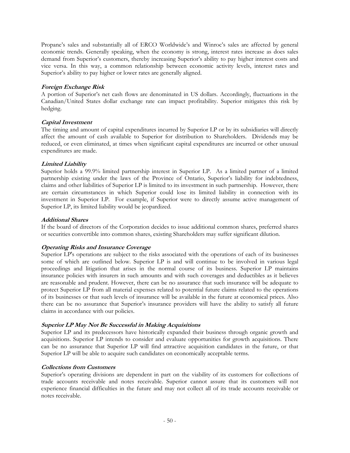Propane's sales and substantially all of ERCO Worldwide's and Winroc's sales are affected by general economic trends. Generally speaking, when the economy is strong, interest rates increase as does sales demand from Superior's customers, thereby increasing Superior's ability to pay higher interest costs and vice versa. In this way, a common relationship between economic activity levels, interest rates and Superior's ability to pay higher or lower rates are generally aligned.

## **Foreign Exchange Risk**

A portion of Superior's net cash flows are denominated in US dollars. Accordingly, fluctuations in the Canadian/United States dollar exchange rate can impact profitability. Superior mitigates this risk by hedging.

#### **Capital Investment**

The timing and amount of capital expenditures incurred by Superior LP or by its subsidiaries will directly affect the amount of cash available to Superior for distribution to Shareholders. Dividends may be reduced, or even eliminated, at times when significant capital expenditures are incurred or other unusual expenditures are made.

## **Limited Liability**

Superior holds a 99.9% limited partnership interest in Superior LP. As a limited partner of a limited partnership existing under the laws of the Province of Ontario, Superior's liability for indebtedness, claims and other liabilities of Superior LP is limited to its investment in such partnership. However, there are certain circumstances in which Superior could lose its limited liability in connection with its investment in Superior LP. For example, if Superior were to directly assume active management of Superior LP, its limited liability would be jeopardized.

#### **Additional Shares**

If the board of directors of the Corporation decides to issue additional common shares, preferred shares or securities convertible into common shares, existing Shareholders may suffer significant dilution.

## **Operating Risks and Insurance Coverage**

Superior LP's operations are subject to the risks associated with the operations of each of its businesses some of which are outlined below. Superior LP is and will continue to be involved in various legal proceedings and litigation that arises in the normal course of its business. Superior LP maintains insurance policies with insurers in such amounts and with such coverages and deductibles as it believes are reasonable and prudent. However, there can be no assurance that such insurance will be adequate to protect Superior LP from all material expenses related to potential future claims related to the operations of its businesses or that such levels of insurance will be available in the future at economical prices. Also there can be no assurance that Superior's insurance providers will have the ability to satisfy all future claims in accordance with our policies.

## **Superior LP May Not Be Successful in Making Acquisitions**

Superior LP and its predecessors have historically expanded their business through organic growth and acquisitions. Superior LP intends to consider and evaluate opportunities for growth acquisitions. There can be no assurance that Superior LP will find attractive acquisition candidates in the future, or that Superior LP will be able to acquire such candidates on economically acceptable terms.

#### **Collections from Customers**

Superior's operating divisions are dependent in part on the viability of its customers for collections of trade accounts receivable and notes receivable. Superior cannot assure that its customers will not experience financial difficulties in the future and may not collect all of its trade accounts receivable or notes receivable.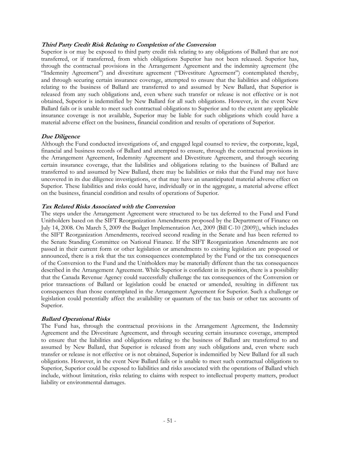## **Third Party Credit Risk Relating to Completion of the Conversion**

Superior is or may be exposed to third party credit risk relating to any obligations of Ballard that are not transferred, or if transferred, from which obligations Superior has not been released. Superior has, through the contractual provisions in the Arrangement Agreement and the indemnity agreement (the "Indemnity Agreement") and divestiture agreement ("Divestiture Agreement") contemplated thereby, and through securing certain insurance coverage, attempted to ensure that the liabilities and obligations relating to the business of Ballard are transferred to and assumed by New Ballard, that Superior is released from any such obligations and, even where such transfer or release is not effective or is not obtained, Superior is indemnified by New Ballard for all such obligations. However, in the event New Ballard fails or is unable to meet such contractual obligations to Superior and to the extent any applicable insurance coverage is not available, Superior may be liable for such obligations which could have a material adverse effect on the business, financial condition and results of operations of Superior.

#### **Due Diligence**

Although the Fund conducted investigations of, and engaged legal counsel to review, the corporate, legal, financial and business records of Ballard and attempted to ensure, through the contractual provisions in the Arrangement Agreement, Indemnity Agreement and Divestiture Agreement, and through securing certain insurance coverage, that the liabilities and obligations relating to the business of Ballard are transferred to and assumed by New Ballard, there may be liabilities or risks that the Fund may not have uncovered in its due diligence investigations, or that may have an unanticipated material adverse effect on Superior. These liabilities and risks could have, individually or in the aggregate, a material adverse effect on the business, financial condition and results of operations of Superior.

#### **Tax Related Risks Associated with the Conversion**

The steps under the Arrangement Agreement were structured to be tax deferred to the Fund and Fund Unitholders based on the SIFT Reorganization Amendments proposed by the Department of Finance on July 14, 2008. On March 5, 2009 the Budget Implementation Act, 2009 (Bill C-10 (2009)), which includes the SIFT Reorganization Amendments, received second reading in the Senate and has been referred to the Senate Standing Committee on National Finance. If the SIFT Reorganization Amendments are not passed in their current form or other legislation or amendments to existing legislation are proposed or announced, there is a risk that the tax consequences contemplated by the Fund or the tax consequences of the Conversion to the Fund and the Unitholders may be materially different than the tax consequences described in the Arrangement Agreement. While Superior is confident in its position, there is a possibility that the Canada Revenue Agency could successfully challenge the tax consequences of the Conversion or prior transactions of Ballard or legislation could be enacted or amended, resulting in different tax consequences than those contemplated in the Arrangement Agreement for Superior. Such a challenge or legislation could potentially affect the availability or quantum of the tax basis or other tax accounts of Superior.

## **Ballard Operational Risks**

The Fund has, through the contractual provisions in the Arrangement Agreement, the Indemnity Agreement and the Divestiture Agreement, and through securing certain insurance coverage, attempted to ensure that the liabilities and obligations relating to the business of Ballard are transferred to and assumed by New Ballard, that Superior is released from any such obligations and, even where such transfer or release is not effective or is not obtained, Superior is indemnified by New Ballard for all such obligations. However, in the event New Ballard fails or is unable to meet such contractual obligations to Superior, Superior could be exposed to liabilities and risks associated with the operations of Ballard which include, without limitation, risks relating to claims with respect to intellectual property matters, product liability or environmental damages.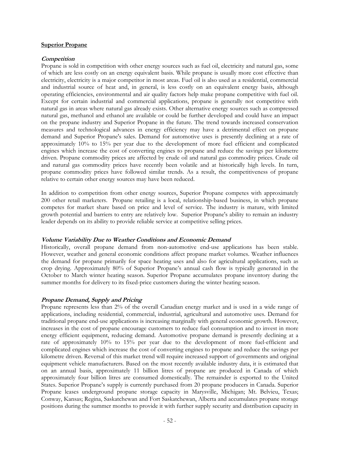#### **Superior Propane**

#### **Competition**

Propane is sold in competition with other energy sources such as fuel oil, electricity and natural gas, some of which are less costly on an energy equivalent basis. While propane is usually more cost effective than electricity, electricity is a major competitor in most areas. Fuel oil is also used as a residential, commercial and industrial source of heat and, in general, is less costly on an equivalent energy basis, although operating efficiencies, environmental and air quality factors help make propane competitive with fuel oil. Except for certain industrial and commercial applications, propane is generally not competitive with natural gas in areas where natural gas already exists. Other alternative energy sources such as compressed natural gas, methanol and ethanol are available or could be further developed and could have an impact on the propane industry and Superior Propane in the future. The trend towards increased conservation measures and technological advances in energy efficiency may have a detrimental effect on propane demand and Superior Propane's sales. Demand for automotive uses is presently declining at a rate of approximately 10% to 15% per year due to the development of more fuel efficient and complicated engines which increase the cost of converting engines to propane and reduce the savings per kilometre driven. Propane commodity prices are affected by crude oil and natural gas commodity prices. Crude oil and natural gas commodity prices have recently been volatile and at historically high levels. In turn, propane commodity prices have followed similar trends. As a result, the competitiveness of propane relative to certain other energy sources may have been reduced.

In addition to competition from other energy sources, Superior Propane competes with approximately 200 other retail marketers. Propane retailing is a local, relationship-based business, in which propane competes for market share based on price and level of service. The industry is mature, with limited growth potential and barriers to entry are relatively low. Superior Propane's ability to remain an industry leader depends on its ability to provide reliable service at competitive selling prices.

#### **Volume Variability Due to Weather Conditions and Economic Demand**

Historically, overall propane demand from non-automotive end-use applications has been stable. However, weather and general economic conditions affect propane market volumes. Weather influences the demand for propane primarily for space heating uses and also for agricultural applications, such as crop drying. Approximately 80% of Superior Propane's annual cash flow is typically generated in the October to March winter heating season. Superior Propane accumulates propane inventory during the summer months for delivery to its fixed-price customers during the winter heating season.

#### **Propane Demand, Supply and Pricing**

Propane represents less than 2% of the overall Canadian energy market and is used in a wide range of applications, including residential, commercial, industrial, agricultural and automotive uses. Demand for traditional propane end-use applications is increasing marginally with general economic growth. However, increases in the cost of propane encourage customers to reduce fuel consumption and to invest in more energy efficient equipment, reducing demand. Automotive propane demand is presently declining at a rate of approximately 10% to 15% per year due to the development of more fuel-efficient and complicated engines which increase the cost of converting engines to propane and reduce the savings per kilometre driven. Reversal of this market trend will require increased support of governments and original equipment vehicle manufacturers. Based on the most recently available industry data, it is estimated that on an annual basis, approximately 11 billion litres of propane are produced in Canada of which approximately four billion litres are consumed domestically. The remainder is exported to the United States. Superior Propane's supply is currently purchased from 20 propane producers in Canada. Superior Propane leases underground propane storage capacity in Marysville, Michigan; Mt. Belvieu, Texas; Conway, Kansas; Regina, Saskatchewan and Fort Saskatchewan, Alberta and accumulates propane storage positions during the summer months to provide it with further supply security and distribution capacity in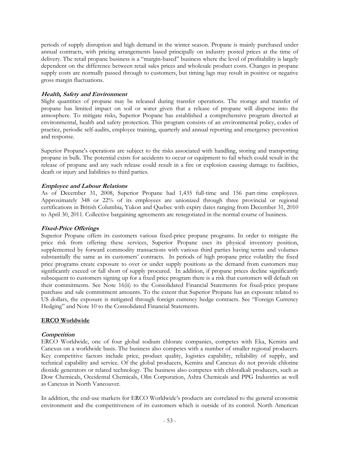periods of supply disruption and high demand in the winter season. Propane is mainly purchased under annual contracts, with pricing arrangements based principally on industry posted prices at the time of delivery. The retail propane business is a "margin-based" business where the level of profitability is largely dependent on the difference between retail sales prices and wholesale product costs. Changes in propane supply costs are normally passed through to customers, but timing lags may result in positive or negative gross margin fluctuations.

## **Health, Safety and Environment**

Slight quantities of propane may be released during transfer operations. The storage and transfer of propane has limited impact on soil or water given that a release of propane will disperse into the atmosphere. To mitigate risks, Superior Propane has established a comprehensive program directed at environmental, health and safety protection. This program consists of an environmental policy, codes of practice, periodic self-audits, employee training, quarterly and annual reporting and emergency prevention and response.

Superior Propane's operations are subject to the risks associated with handling, storing and transporting propane in bulk. The potential exists for accidents to occur or equipment to fail which could result in the release of propane and any such release could result in a fire or explosion causing damage to facilities, death or injury and liabilities to third parties.

## **Employee and Labour Relations**

As of December 31, 2008, Superior Propane had 1,435 full-time and 156 part-time employees. Approximately 348 or 22% of its employees are unionized through three provincial or regional certifications in British Columbia, Yukon and Quebec with expiry dates ranging from December 31, 2010 to April 30, 2011. Collective bargaining agreements are renegotiated in the normal course of business.

## **Fixed-Price Offerings**

Superior Propane offers its customers various fixed-price propane programs. In order to mitigate the price risk from offering these services, Superior Propane uses its physical inventory position, supplemented by forward commodity transactions with various third parties having terms and volumes substantially the same as its customers' contracts. In periods of high propane price volatility the fixed price programs create exposure to over or under supply positions as the demand from customers may significantly exceed or fall short of supply procured. In addition, if propane prices decline significantly subsequent to customers signing up for a fixed price program there is a risk that customers will default on their commitments. See Note 16(ii) to the Consolidated Financial Statements for fixed-price propane purchase and sale commitment amounts. To the extent that Superior Propane has an exposure related to US dollars, the exposure is mitigated through foreign currency hedge contracts. See "Foreign Currency Hedging" and Note 10 to the Consolidated Financial Statements.

## **ERCO Worldwide**

#### **Competition**

ERCO Worldwide, one of four global sodium chlorate companies, competes with Eka, Kemira and Canexus on a worldwide basis. The business also competes with a number of smaller regional producers. Key competitive factors include price, product quality, logistics capability, reliability of supply, and technical capability and service. Of the global producers, Kemira and Canexus do not provide chlorine dioxide generators or related technology. The business also competes with chloralkali producers, such as Dow Chemicals, Occidental Chemicals, Olin Corporation, Ashta Chemicals and PPG Industries as well as Canexus in North Vancouver.

In addition, the end-use markets for ERCO Worldwide's products are correlated to the general economic environment and the competitiveness of its customers which is outside of its control. North American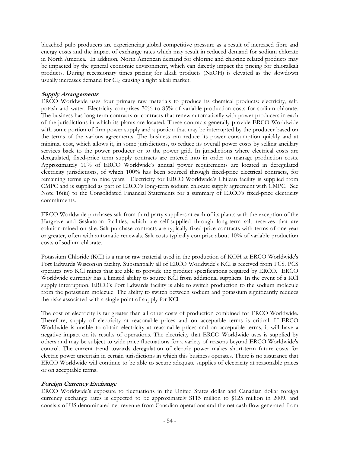bleached pulp producers are experiencing global competitive pressure as a result of increased fibre and energy costs and the impact of exchange rates which may result in reduced demand for sodium chlorate in North America. In addition, North American demand for chlorine and chlorine related products may be impacted by the general economic environment, which can directly impact the pricing for chloralkali products. During recessionary times pricing for alkali products (NaOH) is elevated as the slowdown usually increases demand for Cl<sub>2</sub> causing a tight alkali market.

## **Supply Arrangements**

ERCO Worldwide uses four primary raw materials to produce its chemical products: electricity, salt, potash and water. Electricity comprises 70% to 85% of variable production costs for sodium chlorate. The business has long-term contracts or contracts that renew automatically with power producers in each of the jurisdictions in which its plants are located. These contracts generally provide ERCO Worldwide with some portion of firm power supply and a portion that may be interrupted by the producer based on the terms of the various agreements. The business can reduce its power consumption quickly and at minimal cost, which allows it, in some jurisdictions, to reduce its overall power costs by selling ancillary services back to the power producer or to the power grid. In jurisdictions where electrical costs are deregulated, fixed-price term supply contracts are entered into in order to manage production costs. Approximately 10% of ERCO Worldwide's annual power requirements are located in deregulated electricity jurisdictions, of which 100% has been sourced through fixed-price electrical contracts, for remaining terms up to nine years. Electricity for ERCO Worldwide's Chilean facility is supplied from CMPC and is supplied as part of ERCO's long-term sodium chlorate supply agreement with CMPC. See Note 16(iii) to the Consolidated Financial Statements for a summary of ERCO's fixed-price electricity commitments.

ERCO Worldwide purchases salt from third-party suppliers at each of its plants with the exception of the Hargrave and Saskatoon facilities, which are self-supplied through long-term salt reserves that are solution-mined on site. Salt purchase contracts are typically fixed-price contracts with terms of one year or greater, often with automatic renewals. Salt costs typically comprise about 10% of variable production costs of sodium chlorate.

Potassium Chloride (KCl) is a major raw material used in the production of KOH at ERCO Worldwide's Port Edwards Wisconsin facility. Substantially all of ERCO Worldwide's KCl is received from PCS. PCS operates two KCl mines that are able to provide the product specifications required by ERCO. ERCO Worldwide currently has a limited ability to source KCl from additional suppliers. In the event of a KCl supply interruption, ERCO's Port Edwards facility is able to switch production to the sodium molecule from the potassium molecule. The ability to switch between sodium and potassium significantly reduces the risks associated with a single point of supply for KCl.

The cost of electricity is far greater than all other costs of production combined for ERCO Worldwide. Therefore, supply of electricity at reasonable prices and on acceptable terms is critical. If ERCO Worldwide is unable to obtain electricity at reasonable prices and on acceptable terms, it will have a negative impact on its results of operations. The electricity that ERCO Worldwide uses is supplied by others and may be subject to wide price fluctuations for a variety of reasons beyond ERCO Worldwide's control. The current trend towards deregulation of electric power makes short-term future costs for electric power uncertain in certain jurisdictions in which this business operates. There is no assurance that ERCO Worldwide will continue to be able to secure adequate supplies of electricity at reasonable prices or on acceptable terms.

## **Foreign Currency Exchange**

ERCO Worldwide's exposure to fluctuations in the United States dollar and Canadian dollar foreign currency exchange rates is expected to be approximately \$115 million to \$125 million in 2009, and consists of US denominated net revenue from Canadian operations and the net cash flow generated from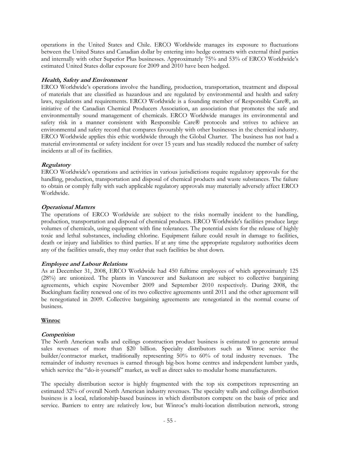operations in the United States and Chile. ERCO Worldwide manages its exposure to fluctuations between the United States and Canadian dollar by entering into hedge contracts with external third parties and internally with other Superior Plus businesses. Approximately 75% and 53% of ERCO Worldwide's estimated United States dollar exposure for 2009 and 2010 have been hedged.

## **Health, Safety and Environment**

ERCO Worldwide's operations involve the handling, production, transportation, treatment and disposal of materials that are classified as hazardous and are regulated by environmental and health and safety laws, regulations and requirements. ERCO Worldwide is a founding member of Responsible Care®, an initiative of the Canadian Chemical Producers Association, an association that promotes the safe and environmentally sound management of chemicals. ERCO Worldwide manages its environmental and safety risk in a manner consistent with Responsible Care® protocols and strives to achieve an environmental and safety record that compares favourably with other businesses in the chemical industry. ERCO Worldwide applies this ethic worldwide through the Global Charter. The business has not had a material environmental or safety incident for over 15 years and has steadily reduced the number of safety incidents at all of its facilities.

## **Regulatory**

ERCO Worldwide's operations and activities in various jurisdictions require regulatory approvals for the handling, production, transportation and disposal of chemical products and waste substances. The failure to obtain or comply fully with such applicable regulatory approvals may materially adversely affect ERCO Worldwide.

## **Operational Matters**

The operations of ERCO Worldwide are subject to the risks normally incident to the handling, production, transportation and disposal of chemical products. ERCO Worldwide's facilities produce large volumes of chemicals, using equipment with fine tolerances. The potential exists for the release of highly toxic and lethal substances, including chlorine. Equipment failure could result in damage to facilities, death or injury and liabilities to third parties. If at any time the appropriate regulatory authorities deem any of the facilities unsafe, they may order that such facilities be shut down.

## **Employee and Labour Relations**

As at December 31, 2008, ERCO Worldwide had 450 fulltime employees of which approximately 125 (28%) are unionized. The plants in Vancouver and Saskatoon are subject to collective bargaining agreements, which expire November 2009 and September 2010 respectively. During 2008, the Buckingham facility renewed one of its two collective agreements until 2011 and the other agreement will be renegotiated in 2009. Collective bargaining agreements are renegotiated in the normal course of business.

## **Winroc**

## **Competition**

The North American walls and ceilings construction product business is estimated to generate annual sales revenues of more than \$20 billion. Specialty distributors such as Winroc service the builder/contractor market, traditionally representing 50% to 60% of total industry revenues. The remainder of industry revenues is earned through big-box home centres and independent lumber yards, which service the "do-it-yourself" market, as well as direct sales to modular home manufacturers.

The specialty distribution sector is highly fragmented with the top six competitors representing an estimated 32% of overall North American industry revenues. The specialty walls and ceilings distribution business is a local, relationship-based business in which distributors compete on the basis of price and service. Barriers to entry are relatively low, but Winroc's multi-location distribution network, strong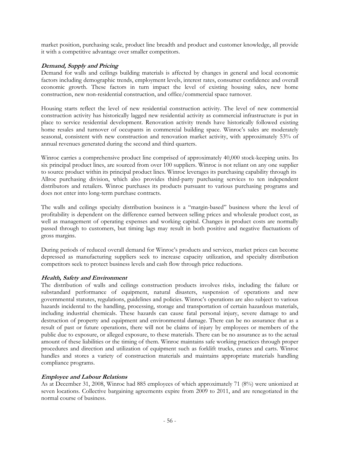market position, purchasing scale, product line breadth and product and customer knowledge, all provide it with a competitive advantage over smaller competitors.

## **Demand, Supply and Pricing**

Demand for walls and ceilings building materials is affected by changes in general and local economic factors including demographic trends, employment levels, interest rates, consumer confidence and overall economic growth. These factors in turn impact the level of existing housing sales, new home construction, new non-residential construction, and office/commercial space turnover.

Housing starts reflect the level of new residential construction activity. The level of new commercial construction activity has historically lagged new residential activity as commercial infrastructure is put in place to service residential development. Renovation activity trends have historically followed existing home resales and turnover of occupants in commercial building space. Winroc's sales are moderately seasonal, consistent with new construction and renovation market activity, with approximately 53% of annual revenues generated during the second and third quarters.

Winroc carries a comprehensive product line comprised of approximately 40,000 stock-keeping units. Its six principal product lines, are sourced from over 100 suppliers. Winroc is not reliant on any one supplier to source product within its principal product lines. Winroc leverages its purchasing capability through its Allroc purchasing division, which also provides third-party purchasing services to ten independent distributors and retailers. Winroc purchases its products pursuant to various purchasing programs and does not enter into long-term purchase contracts.

The walls and ceilings specialty distribution business is a "margin-based" business where the level of profitability is dependent on the difference earned between selling prices and wholesale product cost, as well as management of operating expenses and working capital. Changes in product costs are normally passed through to customers, but timing lags may result in both positive and negative fluctuations of gross margins.

During periods of reduced overall demand for Winroc's products and services, market prices can become depressed as manufacturing suppliers seek to increase capacity utilization, and specialty distribution competitors seek to protect business levels and cash flow through price reductions.

## **Health, Safety and Environment**

The distribution of walls and ceilings construction products involves risks, including the failure or substandard performance of equipment, natural disasters, suspension of operations and new governmental statutes, regulations, guidelines and policies. Winroc's operations are also subject to various hazards incidental to the handling, processing, storage and transportation of certain hazardous materials, including industrial chemicals. These hazards can cause fatal personal injury, severe damage to and destruction of property and equipment and environmental damage. There can be no assurance that as a result of past or future operations, there will not be claims of injury by employees or members of the public due to exposure, or alleged exposure, to these materials. There can be no assurance as to the actual amount of these liabilities or the timing of them. Winroc maintains safe working practices through proper procedures and direction and utilization of equipment such as forklift trucks, cranes and carts. Winroc handles and stores a variety of construction materials and maintains appropriate materials handling compliance programs.

#### **Employee and Labour Relations**

As at December 31, 2008, Winroc had 885 employees of which approximately 71 (8%) were unionized at seven locations. Collective bargaining agreements expire from 2009 to 2011, and are renegotiated in the normal course of business.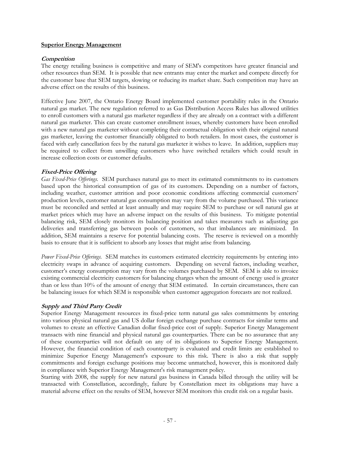#### **Superior Energy Management**

## **Competition**

The energy retailing business is competitive and many of SEM's competitors have greater financial and other resources than SEM. It is possible that new entrants may enter the market and compete directly for the customer base that SEM targets, slowing or reducing its market share. Such competition may have an adverse effect on the results of this business.

Effective June 2007, the Ontario Energy Board implemented customer portability rules in the Ontario natural gas market. The new regulation referred to as Gas Distribution Access Rules has allowed utilities to enroll customers with a natural gas marketer regardless if they are already on a contract with a different natural gas marketer. This can create customer enrollment issues, whereby customers have been enrolled with a new natural gas marketer without completing their contractual obligation with their original natural gas marketer, leaving the customer financially obligated to both retailers. In most cases, the customer is faced with early cancellation fees by the natural gas marketer it wishes to leave. In addition, suppliers may be required to collect from unwilling customers who have switched retailers which could result in increase collection costs or customer defaults.

## **Fixed-Price Offering**

*Gas Fixed-Price Offerings.* SEM purchases natural gas to meet its estimated commitments to its customers based upon the historical consumption of gas of its customers. Depending on a number of factors, including weather, customer attrition and poor economic conditions affecting commercial customers' production levels, customer natural gas consumption may vary from the volume purchased. This variance must be reconciled and settled at least annually and may require SEM to purchase or sell natural gas at market prices which may have an adverse impact on the results of this business. To mitigate potential balancing risk, SEM closely monitors its balancing position and takes measures such as adjusting gas deliveries and transferring gas between pools of customers, so that imbalances are minimized. In addition, SEM maintains a reserve for potential balancing costs. The reserve is reviewed on a monthly basis to ensure that it is sufficient to absorb any losses that might arise from balancing.

*Power Fixed-Price Offerings.* SEM matches its customers estimated electricity requirements by entering into electricity swaps in advance of acquiring customers. Depending on several factors, including weather, customer's energy consumption may vary from the volumes purchased by SEM. SEM is able to invoice existing commercial electricity customers for balancing charges when the amount of energy used is greater than or less than 10% of the amount of energy that SEM estimated. In certain circumstances, there can be balancing issues for which SEM is responsible when customer aggregation forecasts are not realized.

## **Supply and Third Party Credit**

Superior Energy Management resources its fixed-price term natural gas sales commitments by entering into various physical natural gas and US dollar foreign exchange purchase contracts for similar terms and volumes to create an effective Canadian dollar fixed-price cost of supply. Superior Energy Management transacts with nine financial and physical natural gas counterparties. There can be no assurance that any of these counterparties will not default on any of its obligations to Superior Energy Management. However, the financial condition of each counterparty is evaluated and credit limits are established to minimize Superior Energy Management's exposure to this risk. There is also a risk that supply commitments and foreign exchange positions may become unmatched, however, this is monitored daily in compliance with Superior Energy Management's risk management policy.

Starting with 2008, the supply for new natural gas business in Canada billed through the utility will be transacted with Constellation, accordingly, failure by Constellation meet its obligations may have a material adverse effect on the results of SEM, however SEM monitors this credit risk on a regular basis.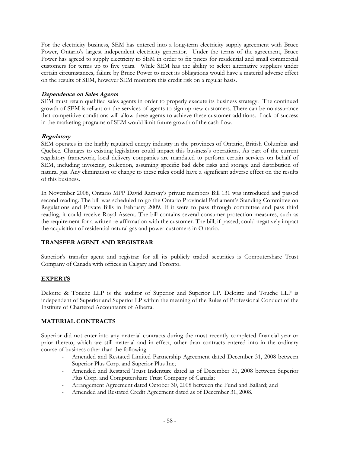For the electricity business, SEM has entered into a long-term electricity supply agreement with Bruce Power, Ontario's largest independent electricity generator. Under the terms of the agreement, Bruce Power has agreed to supply electricity to SEM in order to fix prices for residential and small commercial customers for terms up to five years. While SEM has the ability to select alternative suppliers under certain circumstances, failure by Bruce Power to meet its obligations would have a material adverse effect on the results of SEM, however SEM monitors this credit risk on a regular basis.

## **Dependence on Sales Agents**

SEM must retain qualified sales agents in order to properly execute its business strategy. The continued growth of SEM is reliant on the services of agents to sign up new customers. There can be no assurance that competitive conditions will allow these agents to achieve these customer additions. Lack of success in the marketing programs of SEM would limit future growth of the cash flow.

## **Regulatory**

SEM operates in the highly regulated energy industry in the provinces of Ontario, British Columbia and Quebec. Changes to existing legislation could impact this business's operations. As part of the current regulatory framework, local delivery companies are mandated to perform certain services on behalf of SEM, including invoicing, collection, assuming specific bad debt risks and storage and distribution of natural gas. Any elimination or change to these rules could have a significant adverse effect on the results of this business.

In November 2008, Ontario MPP David Ramsay's private members Bill 131 was introduced and passed second reading. The bill was scheduled to go the Ontario Provincial Parliament's Standing Committee on Regulations and Private Bills in February 2009. If it were to pass through committee and pass third reading, it could receive Royal Assent. The bill contains several consumer protection measures, such as the requirement for a written re-affirmation with the customer. The bill, if passed, could negatively impact the acquisition of residential natural gas and power customers in Ontario.

## **TRANSFER AGENT AND REGISTRAR**

Superior's transfer agent and registrar for all its publicly traded securities is Computershare Trust Company of Canada with offices in Calgary and Toronto.

## **EXPERTS**

Deloitte & Touche LLP is the auditor of Superior and Superior LP. Deloitte and Touche LLP is independent of Superior and Superior LP within the meaning of the Rules of Professional Conduct of the Institute of Chartered Accountants of Alberta.

## **MATERIAL CONTRACTS**

Superior did not enter into any material contracts during the most recently completed financial year or prior thereto, which are still material and in effect, other than contracts entered into in the ordinary course of business other than the following:

- Amended and Restated Limited Partnership Agreement dated December 31, 2008 between Superior Plus Corp. and Superior Plus Inc;
- Amended and Restated Trust Indenture dated as of December 31, 2008 between Superior Plus Corp. and Computershare Trust Company of Canada;
- Arrangement Agreement dated October 30, 2008 between the Fund and Ballard; and
- Amended and Restated Credit Agreement dated as of December 31, 2008.